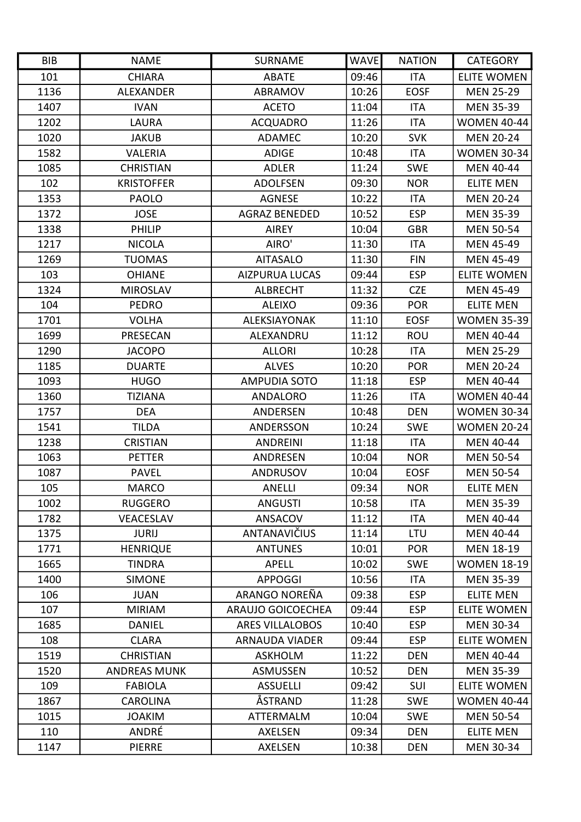| <b>BIB</b> | <b>NAME</b>         | <b>SURNAME</b>           | <b>WAVE</b> | <b>NATION</b> | <b>CATEGORY</b>    |
|------------|---------------------|--------------------------|-------------|---------------|--------------------|
| 101        | <b>CHIARA</b>       | <b>ABATE</b>             | 09:46       | <b>ITA</b>    | <b>ELITE WOMEN</b> |
| 1136       | <b>ALEXANDER</b>    | <b>ABRAMOV</b>           | 10:26       | <b>EOSF</b>   | <b>MEN 25-29</b>   |
| 1407       | <b>IVAN</b>         | <b>ACETO</b>             | 11:04       | <b>ITA</b>    | <b>MEN 35-39</b>   |
| 1202       | LAURA               | <b>ACQUADRO</b>          | 11:26       | <b>ITA</b>    | <b>WOMEN 40-44</b> |
| 1020       | <b>JAKUB</b>        | ADAMEC                   | 10:20       | <b>SVK</b>    | <b>MEN 20-24</b>   |
| 1582       | <b>VALERIA</b>      | <b>ADIGE</b>             | 10:48       | <b>ITA</b>    | <b>WOMEN 30-34</b> |
| 1085       | <b>CHRISTIAN</b>    | <b>ADLER</b>             | 11:24       | <b>SWE</b>    | <b>MEN 40-44</b>   |
| 102        | <b>KRISTOFFER</b>   | <b>ADOLFSEN</b>          | 09:30       | <b>NOR</b>    | <b>ELITE MEN</b>   |
| 1353       | <b>PAOLO</b>        | <b>AGNESE</b>            | 10:22       | <b>ITA</b>    | <b>MEN 20-24</b>   |
| 1372       | <b>JOSE</b>         | <b>AGRAZ BENEDED</b>     | 10:52       | <b>ESP</b>    | <b>MEN 35-39</b>   |
| 1338       | <b>PHILIP</b>       | <b>AIREY</b>             | 10:04       | <b>GBR</b>    | <b>MEN 50-54</b>   |
| 1217       | <b>NICOLA</b>       | AIRO'                    | 11:30       | <b>ITA</b>    | <b>MEN 45-49</b>   |
| 1269       | <b>TUOMAS</b>       | <b>AITASALO</b>          | 11:30       | <b>FIN</b>    | <b>MEN 45-49</b>   |
| 103        | <b>OHIANE</b>       | <b>AIZPURUA LUCAS</b>    | 09:44       | <b>ESP</b>    | <b>ELITE WOMEN</b> |
| 1324       | <b>MIROSLAV</b>     | <b>ALBRECHT</b>          | 11:32       | <b>CZE</b>    | MEN 45-49          |
| 104        | <b>PEDRO</b>        | <b>ALEIXO</b>            | 09:36       | <b>POR</b>    | <b>ELITE MEN</b>   |
| 1701       | <b>VOLHA</b>        | ALEKSIAYONAK             | 11:10       | <b>EOSF</b>   | <b>WOMEN 35-39</b> |
| 1699       | PRESECAN            | ALEXANDRU                | 11:12       | <b>ROU</b>    | <b>MEN 40-44</b>   |
| 1290       | <b>JACOPO</b>       | <b>ALLORI</b>            | 10:28       | <b>ITA</b>    | <b>MEN 25-29</b>   |
| 1185       | <b>DUARTE</b>       | <b>ALVES</b>             | 10:20       | <b>POR</b>    | <b>MEN 20-24</b>   |
| 1093       | <b>HUGO</b>         | <b>AMPUDIA SOTO</b>      | 11:18       | <b>ESP</b>    | <b>MEN 40-44</b>   |
| 1360       | <b>TIZIANA</b>      | <b>ANDALORO</b>          | 11:26       | <b>ITA</b>    | <b>WOMEN 40-44</b> |
| 1757       | <b>DEA</b>          | ANDERSEN                 | 10:48       | <b>DEN</b>    | <b>WOMEN 30-34</b> |
| 1541       | <b>TILDA</b>        | ANDERSSON                | 10:24       | <b>SWE</b>    | <b>WOMEN 20-24</b> |
| 1238       | <b>CRISTIAN</b>     | <b>ANDREINI</b>          | 11:18       | <b>ITA</b>    | <b>MEN 40-44</b>   |
| 1063       | <b>PETTER</b>       | ANDRESEN                 | 10:04       | <b>NOR</b>    | <b>MEN 50-54</b>   |
| 1087       | <b>PAVEL</b>        | <b>ANDRUSOV</b>          | 10:04       | <b>EOSF</b>   | <b>MEN 50-54</b>   |
| 105        | <b>MARCO</b>        | ANELLI                   | 09:34       | <b>NOR</b>    | <b>ELITE MEN</b>   |
| 1002       | <b>RUGGERO</b>      | <b>ANGUSTI</b>           | 10:58       | ITA           | <b>MEN 35-39</b>   |
| 1782       | VEACESLAV           | ANSACOV                  | 11:12       | <b>ITA</b>    | <b>MEN 40-44</b>   |
| 1375       | <b>JURIJ</b>        | ANTANAVIČIUS             | 11:14       | LTU           | <b>MEN 40-44</b>   |
| 1771       | <b>HENRIQUE</b>     | <b>ANTUNES</b>           | 10:01       | <b>POR</b>    | <b>MEN 18-19</b>   |
| 1665       | <b>TINDRA</b>       | <b>APELL</b>             | 10:02       | <b>SWE</b>    | <b>WOMEN 18-19</b> |
| 1400       | <b>SIMONE</b>       | <b>APPOGGI</b>           | 10:56       | <b>ITA</b>    | <b>MEN 35-39</b>   |
| 106        | <b>JUAN</b>         | ARANGO NOREÑA            | 09:38       | <b>ESP</b>    | <b>ELITE MEN</b>   |
| 107        | <b>MIRIAM</b>       | <b>ARAUJO GOICOECHEA</b> | 09:44       | <b>ESP</b>    | <b>ELITE WOMEN</b> |
| 1685       | <b>DANIEL</b>       | <b>ARES VILLALOBOS</b>   | 10:40       | <b>ESP</b>    | <b>MEN 30-34</b>   |
| 108        | <b>CLARA</b>        | ARNAUDA VIADER           | 09:44       | <b>ESP</b>    | <b>ELITE WOMEN</b> |
| 1519       | <b>CHRISTIAN</b>    | <b>ASKHOLM</b>           | 11:22       | <b>DEN</b>    | <b>MEN 40-44</b>   |
| 1520       | <b>ANDREAS MUNK</b> | ASMUSSEN                 | 10:52       | <b>DEN</b>    | <b>MEN 35-39</b>   |
| 109        | <b>FABIOLA</b>      | <b>ASSUELLI</b>          | 09:42       | SUI           | <b>ELITE WOMEN</b> |
| 1867       | <b>CAROLINA</b>     | ÅSTRAND                  | 11:28       | <b>SWE</b>    | <b>WOMEN 40-44</b> |
| 1015       | <b>JOAKIM</b>       | ATTERMALM                | 10:04       | <b>SWE</b>    | <b>MEN 50-54</b>   |
| 110        | ANDRÉ               | <b>AXELSEN</b>           | 09:34       | <b>DEN</b>    | <b>ELITE MEN</b>   |
| 1147       | <b>PIERRE</b>       | <b>AXELSEN</b>           | 10:38       | <b>DEN</b>    | <b>MEN 30-34</b>   |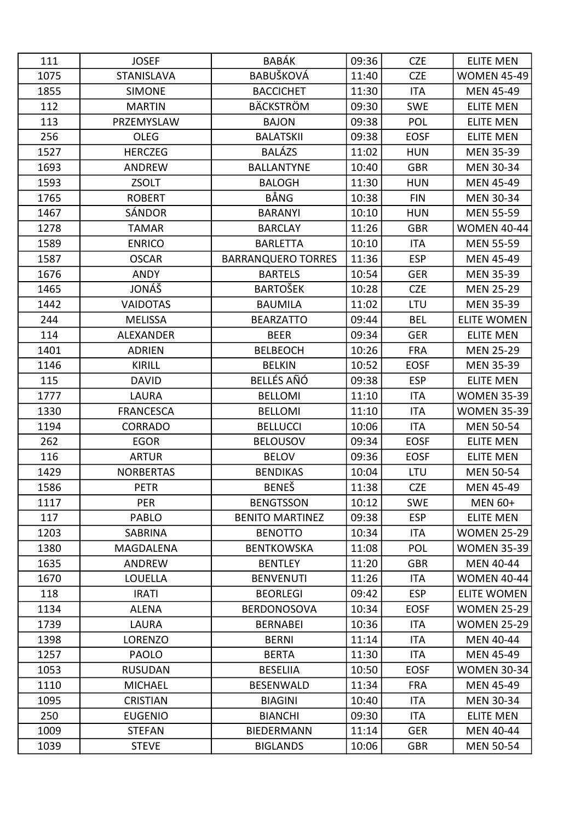| 111  | <b>JOSEF</b>      | <b>BABÁK</b>              | 09:36 | <b>CZE</b>  | <b>ELITE MEN</b>   |
|------|-------------------|---------------------------|-------|-------------|--------------------|
| 1075 | <b>STANISLAVA</b> | <b>BABUŠKOVÁ</b>          | 11:40 | <b>CZE</b>  | <b>WOMEN 45-49</b> |
| 1855 | <b>SIMONE</b>     | <b>BACCICHET</b>          | 11:30 | <b>ITA</b>  | <b>MEN 45-49</b>   |
| 112  | <b>MARTIN</b>     | <b>BÄCKSTRÖM</b>          | 09:30 | <b>SWE</b>  | <b>ELITE MEN</b>   |
| 113  | PRZEMYSLAW        | <b>BAJON</b>              | 09:38 | <b>POL</b>  | <b>ELITE MEN</b>   |
| 256  | <b>OLEG</b>       | <b>BALATSKII</b>          | 09:38 | <b>EOSF</b> | <b>ELITE MEN</b>   |
| 1527 | <b>HERCZEG</b>    | <b>BALÁZS</b>             | 11:02 | <b>HUN</b>  | <b>MEN 35-39</b>   |
| 1693 | ANDREW            | <b>BALLANTYNE</b>         | 10:40 | <b>GBR</b>  | <b>MEN 30-34</b>   |
| 1593 | <b>ZSOLT</b>      | <b>BALOGH</b>             | 11:30 | <b>HUN</b>  | <b>MEN 45-49</b>   |
| 1765 | <b>ROBERT</b>     | BÅNG                      | 10:38 | <b>FIN</b>  | <b>MEN 30-34</b>   |
| 1467 | SÁNDOR            | <b>BARANYI</b>            | 10:10 | <b>HUN</b>  | <b>MEN 55-59</b>   |
| 1278 | <b>TAMAR</b>      | <b>BARCLAY</b>            | 11:26 | <b>GBR</b>  | <b>WOMEN 40-44</b> |
| 1589 | <b>ENRICO</b>     | <b>BARLETTA</b>           | 10:10 | <b>ITA</b>  | <b>MEN 55-59</b>   |
| 1587 | <b>OSCAR</b>      | <b>BARRANQUERO TORRES</b> | 11:36 | <b>ESP</b>  | <b>MEN 45-49</b>   |
| 1676 | ANDY              | <b>BARTELS</b>            | 10:54 | <b>GER</b>  | <b>MEN 35-39</b>   |
| 1465 | JONÁŠ             | <b>BARTOŠEK</b>           | 10:28 | <b>CZE</b>  | <b>MEN 25-29</b>   |
| 1442 | <b>VAIDOTAS</b>   | <b>BAUMILA</b>            | 11:02 | LTU         | <b>MEN 35-39</b>   |
| 244  | <b>MELISSA</b>    | <b>BEARZATTO</b>          | 09:44 | <b>BEL</b>  | <b>ELITE WOMEN</b> |
| 114  | <b>ALEXANDER</b>  | <b>BEER</b>               | 09:34 | <b>GER</b>  | <b>ELITE MEN</b>   |
| 1401 | <b>ADRIEN</b>     | <b>BELBEOCH</b>           | 10:26 | <b>FRA</b>  | <b>MEN 25-29</b>   |
| 1146 | <b>KIRILL</b>     | <b>BELKIN</b>             | 10:52 | <b>EOSF</b> | <b>MEN 35-39</b>   |
| 115  | <b>DAVID</b>      | BELLÉS AÑÓ                | 09:38 | <b>ESP</b>  | <b>ELITE MEN</b>   |
| 1777 | LAURA             | <b>BELLOMI</b>            | 11:10 | <b>ITA</b>  | <b>WOMEN 35-39</b> |
| 1330 | <b>FRANCESCA</b>  | <b>BELLOMI</b>            | 11:10 | <b>ITA</b>  | <b>WOMEN 35-39</b> |
| 1194 | <b>CORRADO</b>    | <b>BELLUCCI</b>           | 10:06 | <b>ITA</b>  | <b>MEN 50-54</b>   |
| 262  | <b>EGOR</b>       | <b>BELOUSOV</b>           | 09:34 | <b>EOSF</b> | <b>ELITE MEN</b>   |
| 116  | <b>ARTUR</b>      | <b>BELOV</b>              | 09:36 | <b>EOSF</b> | <b>ELITE MEN</b>   |
| 1429 | <b>NORBERTAS</b>  | <b>BENDIKAS</b>           | 10:04 | LTU         | <b>MEN 50-54</b>   |
| 1586 | <b>PETR</b>       | <b>BENEŠ</b>              | 11:38 | <b>CZE</b>  | <b>MEN 45-49</b>   |
| 1117 | <b>PER</b>        | <b>BENGTSSON</b>          | 10:12 | <b>SWE</b>  | <b>MEN 60+</b>     |
| 117  | <b>PABLO</b>      | <b>BENITO MARTINEZ</b>    | 09:38 | <b>ESP</b>  | <b>ELITE MEN</b>   |
| 1203 | <b>SABRINA</b>    | <b>BENOTTO</b>            | 10:34 | ITA         | <b>WOMEN 25-29</b> |
| 1380 | <b>MAGDALENA</b>  | <b>BENTKOWSKA</b>         | 11:08 | <b>POL</b>  | <b>WOMEN 35-39</b> |
| 1635 | ANDREW            | <b>BENTLEY</b>            | 11:20 | <b>GBR</b>  | <b>MEN 40-44</b>   |
| 1670 | <b>LOUELLA</b>    | <b>BENVENUTI</b>          | 11:26 | ITA         | <b>WOMEN 40-44</b> |
| 118  | <b>IRATI</b>      | <b>BEORLEGI</b>           | 09:42 | <b>ESP</b>  | ELITE WOMEN        |
| 1134 | <b>ALENA</b>      | <b>BERDONOSOVA</b>        | 10:34 | <b>EOSF</b> | <b>WOMEN 25-29</b> |
| 1739 | <b>LAURA</b>      | <b>BERNABEI</b>           | 10:36 | <b>ITA</b>  | <b>WOMEN 25-29</b> |
| 1398 | LORENZO           | <b>BERNI</b>              | 11:14 | ITA         | <b>MEN 40-44</b>   |
| 1257 | <b>PAOLO</b>      | <b>BERTA</b>              | 11:30 | ITA         | <b>MEN 45-49</b>   |
| 1053 | <b>RUSUDAN</b>    | <b>BESELIIA</b>           | 10:50 | <b>EOSF</b> | <b>WOMEN 30-34</b> |
| 1110 | <b>MICHAEL</b>    | <b>BESENWALD</b>          | 11:34 | <b>FRA</b>  | <b>MEN 45-49</b>   |
| 1095 | <b>CRISTIAN</b>   | <b>BIAGINI</b>            | 10:40 | <b>ITA</b>  | <b>MEN 30-34</b>   |
| 250  | <b>EUGENIO</b>    | <b>BIANCHI</b>            | 09:30 | ITA         | <b>ELITE MEN</b>   |
| 1009 | <b>STEFAN</b>     | <b>BIEDERMANN</b>         | 11:14 | <b>GER</b>  | <b>MEN 40-44</b>   |
| 1039 | <b>STEVE</b>      | <b>BIGLANDS</b>           | 10:06 | <b>GBR</b>  | <b>MEN 50-54</b>   |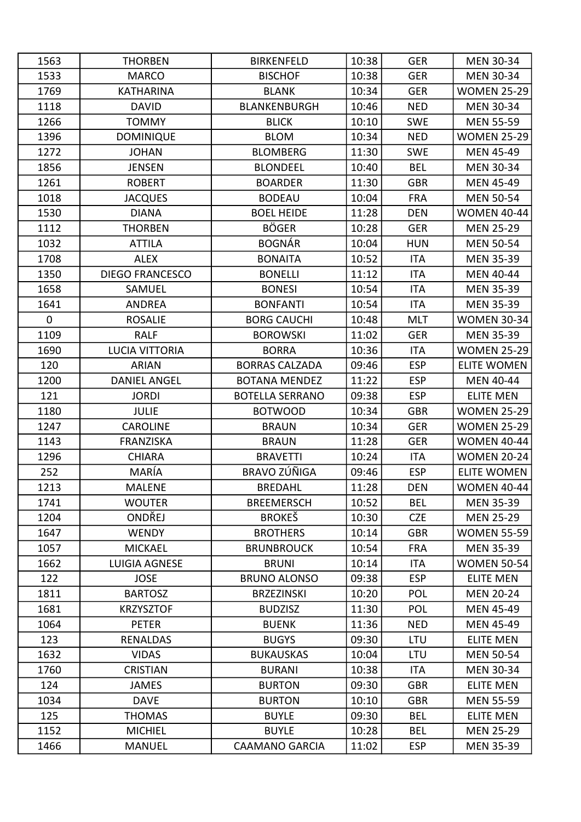| 1563        | <b>THORBEN</b>         | <b>BIRKENFELD</b>      | 10:38 | <b>GER</b> | <b>MEN 30-34</b>   |
|-------------|------------------------|------------------------|-------|------------|--------------------|
| 1533        | <b>MARCO</b>           | <b>BISCHOF</b>         | 10:38 | <b>GER</b> | MEN 30-34          |
| 1769        | <b>KATHARINA</b>       | <b>BLANK</b>           | 10:34 | <b>GER</b> | <b>WOMEN 25-29</b> |
| 1118        | <b>DAVID</b>           | <b>BLANKENBURGH</b>    | 10:46 | <b>NED</b> | <b>MEN 30-34</b>   |
| 1266        | <b>TOMMY</b>           | <b>BLICK</b>           | 10:10 | <b>SWE</b> | <b>MEN 55-59</b>   |
| 1396        | <b>DOMINIQUE</b>       | <b>BLOM</b>            | 10:34 | <b>NED</b> | <b>WOMEN 25-29</b> |
| 1272        | <b>JOHAN</b>           | <b>BLOMBERG</b>        | 11:30 | <b>SWE</b> | <b>MEN 45-49</b>   |
| 1856        | <b>JENSEN</b>          | <b>BLONDEEL</b>        | 10:40 | <b>BEL</b> | <b>MEN 30-34</b>   |
| 1261        | <b>ROBERT</b>          | <b>BOARDER</b>         | 11:30 | <b>GBR</b> | <b>MEN 45-49</b>   |
| 1018        | <b>JACQUES</b>         | <b>BODEAU</b>          | 10:04 | <b>FRA</b> | <b>MEN 50-54</b>   |
| 1530        | <b>DIANA</b>           | <b>BOEL HEIDE</b>      | 11:28 | <b>DEN</b> | <b>WOMEN 40-44</b> |
| 1112        | <b>THORBEN</b>         | <b>BÖGER</b>           | 10:28 | <b>GER</b> | <b>MEN 25-29</b>   |
| 1032        | <b>ATTILA</b>          | <b>BOGNÁR</b>          | 10:04 | <b>HUN</b> | <b>MEN 50-54</b>   |
| 1708        | <b>ALEX</b>            | <b>BONAITA</b>         | 10:52 | <b>ITA</b> | <b>MEN 35-39</b>   |
| 1350        | <b>DIEGO FRANCESCO</b> | <b>BONELLI</b>         | 11:12 | <b>ITA</b> | <b>MEN 40-44</b>   |
| 1658        | SAMUEL                 | <b>BONESI</b>          | 10:54 | <b>ITA</b> | <b>MEN 35-39</b>   |
| 1641        | <b>ANDREA</b>          | <b>BONFANTI</b>        | 10:54 | <b>ITA</b> | <b>MEN 35-39</b>   |
| $\mathbf 0$ | <b>ROSALIE</b>         | <b>BORG CAUCHI</b>     | 10:48 | <b>MLT</b> | <b>WOMEN 30-34</b> |
| 1109        | <b>RALF</b>            | <b>BOROWSKI</b>        | 11:02 | <b>GER</b> | <b>MEN 35-39</b>   |
| 1690        | LUCIA VITTORIA         | <b>BORRA</b>           | 10:36 | <b>ITA</b> | <b>WOMEN 25-29</b> |
| 120         | <b>ARIAN</b>           | <b>BORRAS CALZADA</b>  | 09:46 | <b>ESP</b> | <b>ELITE WOMEN</b> |
| 1200        | <b>DANIEL ANGEL</b>    | <b>BOTANA MENDEZ</b>   | 11:22 | <b>ESP</b> | <b>MEN 40-44</b>   |
| 121         | <b>JORDI</b>           | <b>BOTELLA SERRANO</b> | 09:38 | <b>ESP</b> | <b>ELITE MEN</b>   |
| 1180        | <b>JULIE</b>           | <b>BOTWOOD</b>         | 10:34 | <b>GBR</b> | <b>WOMEN 25-29</b> |
| 1247        | <b>CAROLINE</b>        | <b>BRAUN</b>           | 10:34 | <b>GER</b> | <b>WOMEN 25-29</b> |
| 1143        | <b>FRANZISKA</b>       | <b>BRAUN</b>           | 11:28 | <b>GER</b> | <b>WOMEN 40-44</b> |
| 1296        | <b>CHIARA</b>          | <b>BRAVETTI</b>        | 10:24 | <b>ITA</b> | <b>WOMEN 20-24</b> |
| 252         | MARÍA                  | <b>BRAVO ZÚÑIGA</b>    | 09:46 | <b>ESP</b> | <b>ELITE WOMEN</b> |
| 1213        | <b>MALENE</b>          | <b>BREDAHL</b>         | 11:28 | DEN        | <b>WOMEN 40-44</b> |
| 1741        | <b>WOUTER</b>          | <b>BREEMERSCH</b>      | 10:52 | <b>BEL</b> | <b>MEN 35-39</b>   |
| 1204        | ONDŘEJ                 | <b>BROKEŠ</b>          | 10:30 | <b>CZE</b> | <b>MEN 25-29</b>   |
| 1647        | <b>WENDY</b>           | <b>BROTHERS</b>        | 10:14 | <b>GBR</b> | <b>WOMEN 55-59</b> |
| 1057        | <b>MICKAEL</b>         | <b>BRUNBROUCK</b>      | 10:54 | <b>FRA</b> | <b>MEN 35-39</b>   |
| 1662        | LUIGIA AGNESE          | <b>BRUNI</b>           | 10:14 | ITA        | <b>WOMEN 50-54</b> |
| 122         | <b>JOSE</b>            | <b>BRUNO ALONSO</b>    | 09:38 | <b>ESP</b> | <b>ELITE MEN</b>   |
| 1811        | <b>BARTOSZ</b>         | <b>BRZEZINSKI</b>      | 10:20 | <b>POL</b> | <b>MEN 20-24</b>   |
| 1681        | <b>KRZYSZTOF</b>       | <b>BUDZISZ</b>         | 11:30 | POL        | <b>MEN 45-49</b>   |
| 1064        | <b>PETER</b>           | <b>BUENK</b>           | 11:36 | <b>NED</b> | <b>MEN 45-49</b>   |
| 123         | <b>RENALDAS</b>        | <b>BUGYS</b>           | 09:30 | LTU        | <b>ELITE MEN</b>   |
| 1632        | <b>VIDAS</b>           | <b>BUKAUSKAS</b>       | 10:04 | LTU        | <b>MEN 50-54</b>   |
| 1760        | <b>CRISTIAN</b>        | <b>BURANI</b>          | 10:38 | <b>ITA</b> | <b>MEN 30-34</b>   |
| 124         | <b>JAMES</b>           | <b>BURTON</b>          | 09:30 | <b>GBR</b> | <b>ELITE MEN</b>   |
| 1034        | <b>DAVE</b>            | <b>BURTON</b>          | 10:10 | <b>GBR</b> | <b>MEN 55-59</b>   |
| 125         | <b>THOMAS</b>          | <b>BUYLE</b>           | 09:30 | <b>BEL</b> | <b>ELITE MEN</b>   |
| 1152        | <b>MICHIEL</b>         | <b>BUYLE</b>           | 10:28 | <b>BEL</b> | <b>MEN 25-29</b>   |
| 1466        | <b>MANUEL</b>          | <b>CAAMANO GARCIA</b>  | 11:02 | <b>ESP</b> | <b>MEN 35-39</b>   |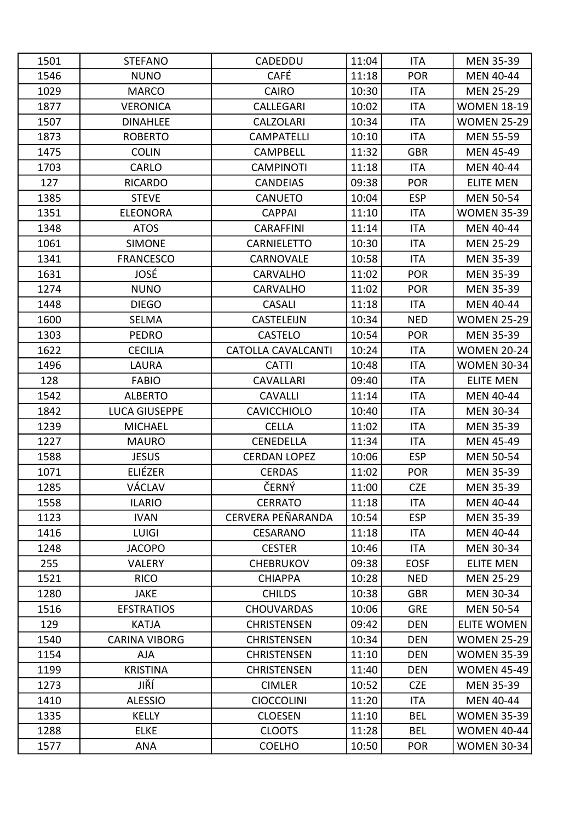| 1501 | <b>STEFANO</b>       | CADEDDU                   | 11:04 | <b>ITA</b>  | <b>MEN 35-39</b>   |
|------|----------------------|---------------------------|-------|-------------|--------------------|
| 1546 | <b>NUNO</b>          | <b>CAFÉ</b>               | 11:18 | <b>POR</b>  | <b>MEN 40-44</b>   |
| 1029 | <b>MARCO</b>         | <b>CAIRO</b>              | 10:30 | <b>ITA</b>  | <b>MEN 25-29</b>   |
| 1877 | <b>VERONICA</b>      | CALLEGARI                 | 10:02 | <b>ITA</b>  | <b>WOMEN 18-19</b> |
| 1507 | <b>DINAHLEE</b>      | <b>CALZOLARI</b>          | 10:34 | <b>ITA</b>  | <b>WOMEN 25-29</b> |
| 1873 | <b>ROBERTO</b>       | <b>CAMPATELLI</b>         | 10:10 | <b>ITA</b>  | <b>MEN 55-59</b>   |
| 1475 | <b>COLIN</b>         | <b>CAMPBELL</b>           | 11:32 | <b>GBR</b>  | <b>MEN 45-49</b>   |
| 1703 | CARLO                | <b>CAMPINOTI</b>          | 11:18 | <b>ITA</b>  | <b>MEN 40-44</b>   |
| 127  | <b>RICARDO</b>       | <b>CANDEIAS</b>           | 09:38 | <b>POR</b>  | <b>ELITE MEN</b>   |
| 1385 | <b>STEVE</b>         | <b>CANUETO</b>            | 10:04 | <b>ESP</b>  | <b>MEN 50-54</b>   |
| 1351 | <b>ELEONORA</b>      | <b>CAPPAI</b>             | 11:10 | <b>ITA</b>  | <b>WOMEN 35-39</b> |
| 1348 | <b>ATOS</b>          | <b>CARAFFINI</b>          | 11:14 | <b>ITA</b>  | MEN 40-44          |
| 1061 | <b>SIMONE</b>        | <b>CARNIELETTO</b>        | 10:30 | <b>ITA</b>  | <b>MEN 25-29</b>   |
| 1341 | <b>FRANCESCO</b>     | CARNOVALE                 | 10:58 | <b>ITA</b>  | <b>MEN 35-39</b>   |
| 1631 | JOSÉ                 | <b>CARVALHO</b>           | 11:02 | <b>POR</b>  | <b>MEN 35-39</b>   |
| 1274 | <b>NUNO</b>          | <b>CARVALHO</b>           | 11:02 | <b>POR</b>  | <b>MEN 35-39</b>   |
| 1448 | <b>DIEGO</b>         | <b>CASALI</b>             | 11:18 | <b>ITA</b>  | <b>MEN 40-44</b>   |
| 1600 | <b>SELMA</b>         | CASTELEIJN                | 10:34 | <b>NED</b>  | <b>WOMEN 25-29</b> |
| 1303 | <b>PEDRO</b>         | <b>CASTELO</b>            | 10:54 | <b>POR</b>  | <b>MEN 35-39</b>   |
| 1622 | <b>CECILIA</b>       | <b>CATOLLA CAVALCANTI</b> | 10:24 | <b>ITA</b>  | <b>WOMEN 20-24</b> |
| 1496 | LAURA                | <b>CATTI</b>              | 10:48 | <b>ITA</b>  | <b>WOMEN 30-34</b> |
| 128  | <b>FABIO</b>         | <b>CAVALLARI</b>          | 09:40 | <b>ITA</b>  | <b>ELITE MEN</b>   |
| 1542 | <b>ALBERTO</b>       | <b>CAVALLI</b>            | 11:14 | <b>ITA</b>  | <b>MEN 40-44</b>   |
| 1842 | <b>LUCA GIUSEPPE</b> | <b>CAVICCHIOLO</b>        | 10:40 | <b>ITA</b>  | <b>MEN 30-34</b>   |
| 1239 | <b>MICHAEL</b>       | <b>CELLA</b>              | 11:02 | <b>ITA</b>  | <b>MEN 35-39</b>   |
| 1227 | <b>MAURO</b>         | CENEDELLA                 | 11:34 | <b>ITA</b>  | <b>MEN 45-49</b>   |
| 1588 | <b>JESUS</b>         | <b>CERDAN LOPEZ</b>       | 10:06 | <b>ESP</b>  | <b>MEN 50-54</b>   |
| 1071 | ELIÉZER              | <b>CERDAS</b>             | 11:02 | <b>POR</b>  | <b>MEN 35-39</b>   |
| 1285 | VÁCLAV               | ČERNÝ                     | 11:00 | <b>CZE</b>  | <b>MEN 35-39</b>   |
| 1558 | <b>ILARIO</b>        | <b>CERRATO</b>            | 11:18 | ITA         | <b>MEN 40-44</b>   |
| 1123 | <b>IVAN</b>          | CERVERA PEÑARANDA         | 10:54 | <b>ESP</b>  | <b>MEN 35-39</b>   |
| 1416 | <b>LUIGI</b>         | CESARANO                  | 11:18 | ITA         | <b>MEN 40-44</b>   |
| 1248 | <b>JACOPO</b>        | <b>CESTER</b>             | 10:46 | <b>ITA</b>  | <b>MEN 30-34</b>   |
| 255  | <b>VALERY</b>        | <b>CHEBRUKOV</b>          | 09:38 | <b>EOSF</b> | <b>ELITE MEN</b>   |
| 1521 | <b>RICO</b>          | <b>CHIAPPA</b>            | 10:28 | <b>NED</b>  | <b>MEN 25-29</b>   |
| 1280 | <b>JAKE</b>          | <b>CHILDS</b>             | 10:38 | <b>GBR</b>  | <b>MEN 30-34</b>   |
| 1516 | <b>EFSTRATIOS</b>    | <b>CHOUVARDAS</b>         | 10:06 | <b>GRE</b>  | <b>MEN 50-54</b>   |
| 129  | <b>KATJA</b>         | <b>CHRISTENSEN</b>        | 09:42 | <b>DEN</b>  | <b>ELITE WOMEN</b> |
| 1540 | <b>CARINA VIBORG</b> | <b>CHRISTENSEN</b>        | 10:34 | <b>DEN</b>  | <b>WOMEN 25-29</b> |
| 1154 | <b>AJA</b>           | <b>CHRISTENSEN</b>        | 11:10 | <b>DEN</b>  | <b>WOMEN 35-39</b> |
| 1199 | <b>KRISTINA</b>      | <b>CHRISTENSEN</b>        | 11:40 | <b>DEN</b>  | <b>WOMEN 45-49</b> |
| 1273 | JIŘÍ                 | <b>CIMLER</b>             | 10:52 | <b>CZE</b>  | <b>MEN 35-39</b>   |
| 1410 | <b>ALESSIO</b>       | <b>CIOCCOLINI</b>         | 11:20 | <b>ITA</b>  | <b>MEN 40-44</b>   |
| 1335 | <b>KELLY</b>         | <b>CLOESEN</b>            | 11:10 | <b>BEL</b>  | <b>WOMEN 35-39</b> |
| 1288 | <b>ELKE</b>          | <b>CLOOTS</b>             | 11:28 | <b>BEL</b>  | <b>WOMEN 40-44</b> |
| 1577 | <b>ANA</b>           | <b>COELHO</b>             | 10:50 | <b>POR</b>  | <b>WOMEN 30-34</b> |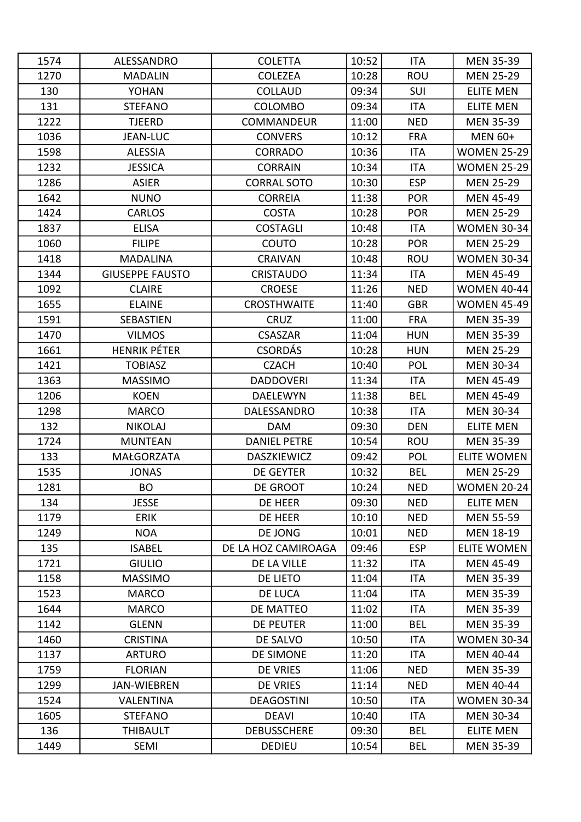| 1574 | ALESSANDRO             | <b>COLETTA</b>      | 10:52 | <b>ITA</b> | <b>MEN 35-39</b>   |
|------|------------------------|---------------------|-------|------------|--------------------|
| 1270 | <b>MADALIN</b>         | <b>COLEZEA</b>      | 10:28 | <b>ROU</b> | <b>MEN 25-29</b>   |
| 130  | <b>YOHAN</b>           | <b>COLLAUD</b>      | 09:34 | SUI        | <b>ELITE MEN</b>   |
| 131  | <b>STEFANO</b>         | <b>COLOMBO</b>      | 09:34 | <b>ITA</b> | <b>ELITE MEN</b>   |
| 1222 | <b>TJEERD</b>          | COMMANDEUR          | 11:00 | <b>NED</b> | <b>MEN 35-39</b>   |
| 1036 | <b>JEAN-LUC</b>        | <b>CONVERS</b>      | 10:12 | <b>FRA</b> | <b>MEN 60+</b>     |
| 1598 | <b>ALESSIA</b>         | <b>CORRADO</b>      | 10:36 | <b>ITA</b> | <b>WOMEN 25-29</b> |
| 1232 | <b>JESSICA</b>         | <b>CORRAIN</b>      | 10:34 | <b>ITA</b> | <b>WOMEN 25-29</b> |
| 1286 | <b>ASIER</b>           | <b>CORRAL SOTO</b>  | 10:30 | <b>ESP</b> | <b>MEN 25-29</b>   |
| 1642 | <b>NUNO</b>            | <b>CORREIA</b>      | 11:38 | <b>POR</b> | <b>MEN 45-49</b>   |
| 1424 | <b>CARLOS</b>          | <b>COSTA</b>        | 10:28 | <b>POR</b> | <b>MEN 25-29</b>   |
| 1837 | <b>ELISA</b>           | <b>COSTAGLI</b>     | 10:48 | <b>ITA</b> | <b>WOMEN 30-34</b> |
| 1060 | <b>FILIPE</b>          | COUTO               | 10:28 | <b>POR</b> | <b>MEN 25-29</b>   |
| 1418 | <b>MADALINA</b>        | <b>CRAIVAN</b>      | 10:48 | <b>ROU</b> | <b>WOMEN 30-34</b> |
| 1344 | <b>GIUSEPPE FAUSTO</b> | <b>CRISTAUDO</b>    | 11:34 | <b>ITA</b> | <b>MEN 45-49</b>   |
| 1092 | <b>CLAIRE</b>          | <b>CROESE</b>       | 11:26 | <b>NED</b> | <b>WOMEN 40-44</b> |
| 1655 | <b>ELAINE</b>          | <b>CROSTHWAITE</b>  | 11:40 | <b>GBR</b> | <b>WOMEN 45-49</b> |
| 1591 | SEBASTIEN              | <b>CRUZ</b>         | 11:00 | <b>FRA</b> | <b>MEN 35-39</b>   |
| 1470 | <b>VILMOS</b>          | <b>CSASZAR</b>      | 11:04 | <b>HUN</b> | <b>MEN 35-39</b>   |
| 1661 | <b>HENRIK PÉTER</b>    | <b>CSORDÁS</b>      | 10:28 | <b>HUN</b> | <b>MEN 25-29</b>   |
| 1421 | <b>TOBIASZ</b>         | <b>CZACH</b>        | 10:40 | POL        | <b>MEN 30-34</b>   |
| 1363 | <b>MASSIMO</b>         | <b>DADDOVERI</b>    | 11:34 | <b>ITA</b> | <b>MEN 45-49</b>   |
| 1206 | <b>KOEN</b>            | <b>DAELEWYN</b>     | 11:38 | <b>BEL</b> | <b>MEN 45-49</b>   |
| 1298 | <b>MARCO</b>           | DALESSANDRO         | 10:38 | <b>ITA</b> | <b>MEN 30-34</b>   |
| 132  | <b>NIKOLAJ</b>         | <b>DAM</b>          | 09:30 | <b>DEN</b> | <b>ELITE MEN</b>   |
| 1724 | <b>MUNTEAN</b>         | <b>DANIEL PETRE</b> | 10:54 | <b>ROU</b> | <b>MEN 35-39</b>   |
| 133  | <b>MAŁGORZATA</b>      | DASZKIEWICZ         | 09:42 | <b>POL</b> | <b>ELITE WOMEN</b> |
| 1535 | <b>JONAS</b>           | <b>DE GEYTER</b>    | 10:32 | <b>BEL</b> | <b>MEN 25-29</b>   |
| 1281 | <b>BO</b>              | DE GROOT            | 10:24 | <b>NED</b> | <b>WOMEN 20-24</b> |
| 134  | <b>JESSE</b>           | DE HEER             | 09:30 | <b>NED</b> | <b>ELITE MEN</b>   |
| 1179 | <b>ERIK</b>            | DE HEER             | 10:10 | <b>NED</b> | <b>MEN 55-59</b>   |
| 1249 | <b>NOA</b>             | DE JONG             | 10:01 | <b>NED</b> | <b>MEN 18-19</b>   |
| 135  | <b>ISABEL</b>          | DE LA HOZ CAMIROAGA | 09:46 | <b>ESP</b> | <b>ELITE WOMEN</b> |
| 1721 | <b>GIULIO</b>          | DE LA VILLE         | 11:32 | <b>ITA</b> | <b>MEN 45-49</b>   |
| 1158 | <b>MASSIMO</b>         | DE LIETO            | 11:04 | <b>ITA</b> | <b>MEN 35-39</b>   |
| 1523 | <b>MARCO</b>           | DE LUCA             | 11:04 | ITA        | <b>MEN 35-39</b>   |
| 1644 | <b>MARCO</b>           | DE MATTEO           | 11:02 | ITA        | <b>MEN 35-39</b>   |
| 1142 | <b>GLENN</b>           | <b>DE PEUTER</b>    | 11:00 | <b>BEL</b> | <b>MEN 35-39</b>   |
| 1460 | <b>CRISTINA</b>        | DE SALVO            | 10:50 | ITA        | <b>WOMEN 30-34</b> |
| 1137 | <b>ARTURO</b>          | DE SIMONE           | 11:20 | ITA        | <b>MEN 40-44</b>   |
| 1759 | <b>FLORIAN</b>         | DE VRIES            | 11:06 | <b>NED</b> | <b>MEN 35-39</b>   |
| 1299 | <b>JAN-WIEBREN</b>     | DE VRIES            | 11:14 | <b>NED</b> | MEN 40-44          |
| 1524 | <b>VALENTINA</b>       | <b>DEAGOSTINI</b>   | 10:50 | <b>ITA</b> | <b>WOMEN 30-34</b> |
| 1605 | <b>STEFANO</b>         | <b>DEAVI</b>        | 10:40 | ITA        | <b>MEN 30-34</b>   |
| 136  | <b>THIBAULT</b>        | <b>DEBUSSCHERE</b>  | 09:30 | <b>BEL</b> | <b>ELITE MEN</b>   |
| 1449 | SEMI                   | <b>DEDIEU</b>       | 10:54 | <b>BEL</b> | <b>MEN 35-39</b>   |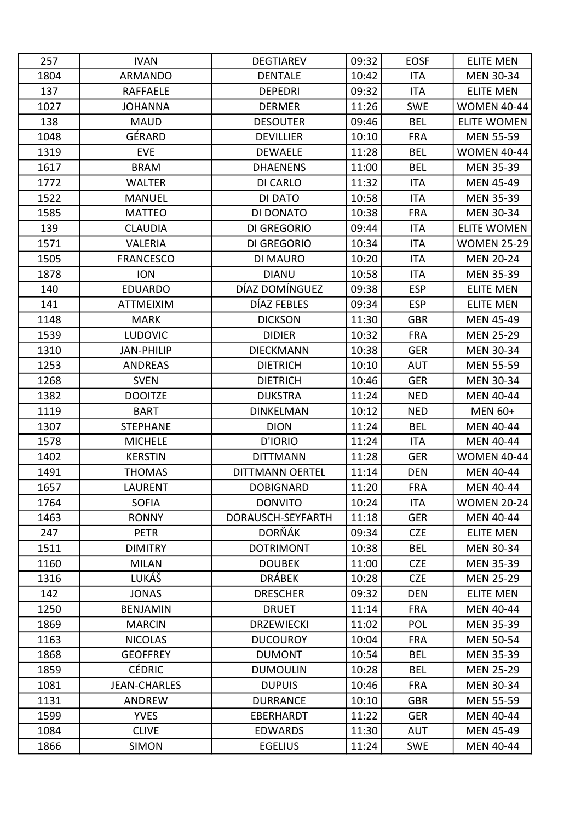| 257  | <b>IVAN</b>         | <b>DEGTIAREV</b>       | 09:32 | <b>EOSF</b> | <b>ELITE MEN</b>   |
|------|---------------------|------------------------|-------|-------------|--------------------|
| 1804 | <b>ARMANDO</b>      | <b>DENTALE</b>         | 10:42 | <b>ITA</b>  | <b>MEN 30-34</b>   |
| 137  | RAFFAELE            | <b>DEPEDRI</b>         | 09:32 | <b>ITA</b>  | <b>ELITE MEN</b>   |
| 1027 | <b>JOHANNA</b>      | <b>DERMER</b>          | 11:26 | <b>SWE</b>  | <b>WOMEN 40-44</b> |
| 138  | <b>MAUD</b>         | <b>DESOUTER</b>        | 09:46 | <b>BEL</b>  | <b>ELITE WOMEN</b> |
| 1048 | GÉRARD              | <b>DEVILLIER</b>       | 10:10 | <b>FRA</b>  | <b>MEN 55-59</b>   |
| 1319 | <b>EVE</b>          | <b>DEWAELE</b>         | 11:28 | <b>BEL</b>  | <b>WOMEN 40-44</b> |
| 1617 | <b>BRAM</b>         | <b>DHAENENS</b>        | 11:00 | <b>BEL</b>  | <b>MEN 35-39</b>   |
| 1772 | <b>WALTER</b>       | DI CARLO               | 11:32 | <b>ITA</b>  | <b>MEN 45-49</b>   |
| 1522 | <b>MANUEL</b>       | DI DATO                | 10:58 | <b>ITA</b>  | <b>MEN 35-39</b>   |
| 1585 | <b>MATTEO</b>       | DI DONATO              | 10:38 | <b>FRA</b>  | MEN 30-34          |
| 139  | <b>CLAUDIA</b>      | <b>DI GREGORIO</b>     | 09:44 | <b>ITA</b>  | <b>ELITE WOMEN</b> |
| 1571 | <b>VALERIA</b>      | <b>DI GREGORIO</b>     | 10:34 | <b>ITA</b>  | <b>WOMEN 25-29</b> |
| 1505 | <b>FRANCESCO</b>    | DI MAURO               | 10:20 | <b>ITA</b>  | <b>MEN 20-24</b>   |
| 1878 | <b>ION</b>          | <b>DIANU</b>           | 10:58 | <b>ITA</b>  | <b>MEN 35-39</b>   |
| 140  | <b>EDUARDO</b>      | DÍAZ DOMÍNGUEZ         | 09:38 | <b>ESP</b>  | <b>ELITE MEN</b>   |
| 141  | <b>ATTMEIXIM</b>    | DÍAZ FEBLES            | 09:34 | <b>ESP</b>  | <b>ELITE MEN</b>   |
| 1148 | <b>MARK</b>         | <b>DICKSON</b>         | 11:30 | <b>GBR</b>  | <b>MEN 45-49</b>   |
| 1539 | <b>LUDOVIC</b>      | <b>DIDIER</b>          | 10:32 | <b>FRA</b>  | <b>MEN 25-29</b>   |
| 1310 | <b>JAN-PHILIP</b>   | <b>DIECKMANN</b>       | 10:38 | <b>GER</b>  | <b>MEN 30-34</b>   |
| 1253 | <b>ANDREAS</b>      | <b>DIETRICH</b>        | 10:10 | <b>AUT</b>  | <b>MEN 55-59</b>   |
| 1268 | <b>SVEN</b>         | <b>DIETRICH</b>        | 10:46 | <b>GER</b>  | <b>MEN 30-34</b>   |
| 1382 | <b>DOOITZE</b>      | <b>DIJKSTRA</b>        | 11:24 | <b>NED</b>  | <b>MEN 40-44</b>   |
| 1119 | <b>BART</b>         | <b>DINKELMAN</b>       | 10:12 | <b>NED</b>  | <b>MEN 60+</b>     |
| 1307 | <b>STEPHANE</b>     | <b>DION</b>            | 11:24 | <b>BEL</b>  | <b>MEN 40-44</b>   |
| 1578 | <b>MICHELE</b>      | D'IORIO                | 11:24 | <b>ITA</b>  | MEN 40-44          |
| 1402 | <b>KERSTIN</b>      | <b>DITTMANN</b>        | 11:28 | <b>GER</b>  | <b>WOMEN 40-44</b> |
| 1491 | <b>THOMAS</b>       | <b>DITTMANN OERTEL</b> | 11:14 | <b>DEN</b>  | <b>MEN 40-44</b>   |
| 1657 | LAURENT             | <b>DOBIGNARD</b>       | 11:20 | <b>FRA</b>  | MEN 40-44          |
| 1764 | <b>SOFIA</b>        | <b>DONVITO</b>         | 10:24 | ITA         | <b>WOMEN 20-24</b> |
| 1463 | <b>RONNY</b>        | DORAUSCH-SEYFARTH      | 11:18 | <b>GER</b>  | <b>MEN 40-44</b>   |
| 247  | <b>PETR</b>         | <b>DORŇÁK</b>          | 09:34 | <b>CZE</b>  | <b>ELITE MEN</b>   |
| 1511 | <b>DIMITRY</b>      | <b>DOTRIMONT</b>       | 10:38 | <b>BEL</b>  | <b>MEN 30-34</b>   |
| 1160 | <b>MILAN</b>        | <b>DOUBEK</b>          | 11:00 | <b>CZE</b>  | <b>MEN 35-39</b>   |
| 1316 | LUKÁŠ               | <b>DRÁBEK</b>          | 10:28 | <b>CZE</b>  | <b>MEN 25-29</b>   |
| 142  | <b>JONAS</b>        | <b>DRESCHER</b>        | 09:32 | <b>DEN</b>  | <b>ELITE MEN</b>   |
| 1250 | <b>BENJAMIN</b>     | <b>DRUET</b>           | 11:14 | <b>FRA</b>  | <b>MEN 40-44</b>   |
| 1869 | <b>MARCIN</b>       | <b>DRZEWIECKI</b>      | 11:02 | <b>POL</b>  | <b>MEN 35-39</b>   |
| 1163 | <b>NICOLAS</b>      | <b>DUCOUROY</b>        | 10:04 | <b>FRA</b>  | <b>MEN 50-54</b>   |
| 1868 | <b>GEOFFREY</b>     | <b>DUMONT</b>          | 10:54 | <b>BEL</b>  | <b>MEN 35-39</b>   |
| 1859 | <b>CÉDRIC</b>       | <b>DUMOULIN</b>        | 10:28 | <b>BEL</b>  | <b>MEN 25-29</b>   |
| 1081 | <b>JEAN-CHARLES</b> | <b>DUPUIS</b>          | 10:46 | <b>FRA</b>  | <b>MEN 30-34</b>   |
| 1131 | <b>ANDREW</b>       | <b>DURRANCE</b>        | 10:10 | <b>GBR</b>  | <b>MEN 55-59</b>   |
| 1599 | <b>YVES</b>         | EBERHARDT              | 11:22 | <b>GER</b>  | <b>MEN 40-44</b>   |
| 1084 | <b>CLIVE</b>        | <b>EDWARDS</b>         | 11:30 | <b>AUT</b>  | <b>MEN 45-49</b>   |
| 1866 | <b>SIMON</b>        | <b>EGELIUS</b>         | 11:24 | <b>SWE</b>  | MEN 40-44          |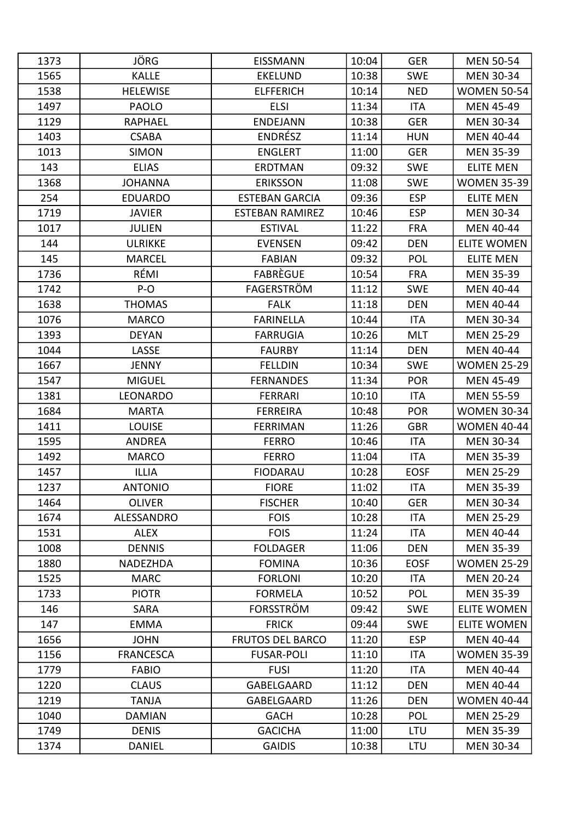| 1373 | JÖRG             | <b>EISSMANN</b>         | 10:04 | <b>GER</b>  | <b>MEN 50-54</b>   |
|------|------------------|-------------------------|-------|-------------|--------------------|
| 1565 | <b>KALLE</b>     | <b>EKELUND</b>          | 10:38 | <b>SWE</b>  | <b>MEN 30-34</b>   |
| 1538 | <b>HELEWISE</b>  | <b>ELFFERICH</b>        | 10:14 | <b>NED</b>  | <b>WOMEN 50-54</b> |
| 1497 | <b>PAOLO</b>     | <b>ELSI</b>             | 11:34 | <b>ITA</b>  | <b>MEN 45-49</b>   |
| 1129 | RAPHAEL          | <b>ENDEJANN</b>         | 10:38 | <b>GER</b>  | <b>MEN 30-34</b>   |
| 1403 | <b>CSABA</b>     | <b>ENDRÉSZ</b>          | 11:14 | <b>HUN</b>  | <b>MEN 40-44</b>   |
| 1013 | <b>SIMON</b>     | <b>ENGLERT</b>          | 11:00 | <b>GER</b>  | <b>MEN 35-39</b>   |
| 143  | <b>ELIAS</b>     | <b>ERDTMAN</b>          | 09:32 | <b>SWE</b>  | <b>ELITE MEN</b>   |
| 1368 | <b>JOHANNA</b>   | <b>ERIKSSON</b>         | 11:08 | <b>SWE</b>  | <b>WOMEN 35-39</b> |
| 254  | <b>EDUARDO</b>   | <b>ESTEBAN GARCIA</b>   | 09:36 | <b>ESP</b>  | <b>ELITE MEN</b>   |
| 1719 | <b>JAVIER</b>    | <b>ESTEBAN RAMIREZ</b>  | 10:46 | <b>ESP</b>  | <b>MEN 30-34</b>   |
| 1017 | <b>JULIEN</b>    | <b>ESTIVAL</b>          | 11:22 | <b>FRA</b>  | <b>MEN 40-44</b>   |
| 144  | <b>ULRIKKE</b>   | <b>EVENSEN</b>          | 09:42 | <b>DEN</b>  | <b>ELITE WOMEN</b> |
| 145  | <b>MARCEL</b>    | <b>FABIAN</b>           | 09:32 | <b>POL</b>  | <b>ELITE MEN</b>   |
| 1736 | RÉMI             | FABREGUE                | 10:54 | <b>FRA</b>  | <b>MEN 35-39</b>   |
| 1742 | $P-O$            | <b>FAGERSTRÖM</b>       | 11:12 | <b>SWE</b>  | <b>MEN 40-44</b>   |
| 1638 | <b>THOMAS</b>    | <b>FALK</b>             | 11:18 | <b>DEN</b>  | <b>MEN 40-44</b>   |
| 1076 | <b>MARCO</b>     | <b>FARINELLA</b>        | 10:44 | <b>ITA</b>  | <b>MEN 30-34</b>   |
| 1393 | <b>DEYAN</b>     | <b>FARRUGIA</b>         | 10:26 | <b>MLT</b>  | <b>MEN 25-29</b>   |
| 1044 | LASSE            | <b>FAURBY</b>           | 11:14 | <b>DEN</b>  | <b>MEN 40-44</b>   |
| 1667 | JENNY            | <b>FELLDIN</b>          | 10:34 | <b>SWE</b>  | <b>WOMEN 25-29</b> |
| 1547 | <b>MIGUEL</b>    | <b>FERNANDES</b>        | 11:34 | <b>POR</b>  | <b>MEN 45-49</b>   |
| 1381 | <b>LEONARDO</b>  | <b>FERRARI</b>          | 10:10 | <b>ITA</b>  | <b>MEN 55-59</b>   |
| 1684 | <b>MARTA</b>     | <b>FERREIRA</b>         | 10:48 | <b>POR</b>  | <b>WOMEN 30-34</b> |
| 1411 | <b>LOUISE</b>    | <b>FERRIMAN</b>         | 11:26 | <b>GBR</b>  | <b>WOMEN 40-44</b> |
| 1595 | <b>ANDREA</b>    | <b>FERRO</b>            | 10:46 | <b>ITA</b>  | MEN 30-34          |
| 1492 | <b>MARCO</b>     | <b>FERRO</b>            | 11:04 | <b>ITA</b>  | <b>MEN 35-39</b>   |
| 1457 | <b>ILLIA</b>     | <b>FIODARAU</b>         | 10:28 | <b>EOSF</b> | <b>MEN 25-29</b>   |
| 1237 | <b>ANTONIO</b>   | <b>FIORE</b>            | 11:02 | <b>ITA</b>  | <b>MEN 35-39</b>   |
| 1464 | <b>OLIVER</b>    | <b>FISCHER</b>          | 10:40 | <b>GER</b>  | <b>MEN 30-34</b>   |
| 1674 | ALESSANDRO       | <b>FOIS</b>             | 10:28 | <b>ITA</b>  | <b>MEN 25-29</b>   |
| 1531 | <b>ALEX</b>      | <b>FOIS</b>             | 11:24 | ITA         | MEN 40-44          |
| 1008 | <b>DENNIS</b>    | <b>FOLDAGER</b>         | 11:06 | <b>DEN</b>  | <b>MEN 35-39</b>   |
| 1880 | NADEZHDA         | <b>FOMINA</b>           | 10:36 | <b>EOSF</b> | <b>WOMEN 25-29</b> |
| 1525 | <b>MARC</b>      | <b>FORLONI</b>          | 10:20 | <b>ITA</b>  | <b>MEN 20-24</b>   |
| 1733 | <b>PIOTR</b>     | <b>FORMELA</b>          | 10:52 | POL         | <b>MEN 35-39</b>   |
| 146  | <b>SARA</b>      | <b>FORSSTRÖM</b>        | 09:42 | <b>SWE</b>  | <b>ELITE WOMEN</b> |
| 147  | <b>EMMA</b>      | <b>FRICK</b>            | 09:44 | <b>SWE</b>  | <b>ELITE WOMEN</b> |
| 1656 | <b>JOHN</b>      | <b>FRUTOS DEL BARCO</b> | 11:20 | <b>ESP</b>  | MEN 40-44          |
| 1156 | <b>FRANCESCA</b> | <b>FUSAR-POLI</b>       | 11:10 | ITA         | <b>WOMEN 35-39</b> |
| 1779 | <b>FABIO</b>     | <b>FUSI</b>             | 11:20 | ITA         | <b>MEN 40-44</b>   |
| 1220 | <b>CLAUS</b>     | GABELGAARD              | 11:12 | <b>DEN</b>  | <b>MEN 40-44</b>   |
| 1219 | <b>TANJA</b>     | GABELGAARD              | 11:26 | <b>DEN</b>  | <b>WOMEN 40-44</b> |
| 1040 | <b>DAMIAN</b>    | <b>GACH</b>             | 10:28 | <b>POL</b>  | <b>MEN 25-29</b>   |
| 1749 | <b>DENIS</b>     | <b>GACICHA</b>          | 11:00 | LTU         | <b>MEN 35-39</b>   |
| 1374 | <b>DANIEL</b>    | <b>GAIDIS</b>           | 10:38 | LTU         | <b>MEN 30-34</b>   |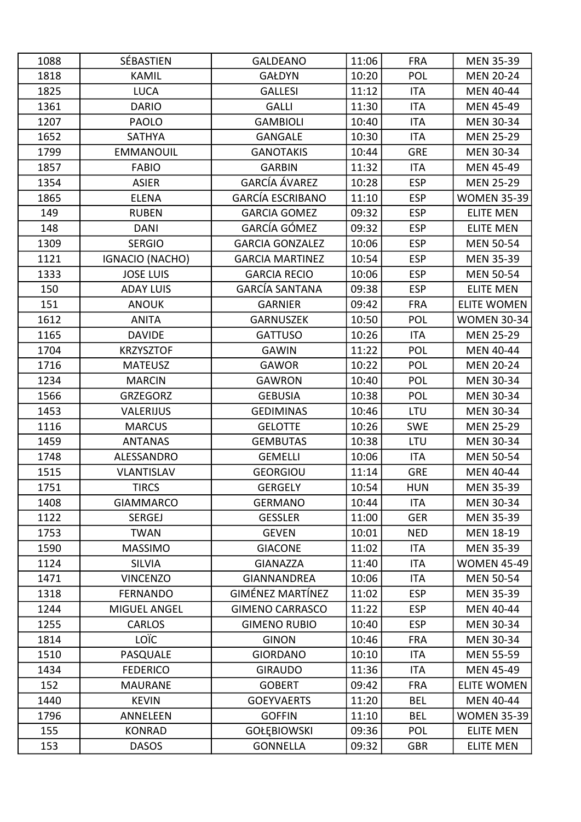| 1088 | SÉBASTIEN           | <b>GALDEANO</b>         | 11:06 | <b>FRA</b> | <b>MEN 35-39</b>   |
|------|---------------------|-------------------------|-------|------------|--------------------|
| 1818 | <b>KAMIL</b>        | <b>GAŁDYN</b>           | 10:20 | POL        | <b>MEN 20-24</b>   |
| 1825 | <b>LUCA</b>         | <b>GALLESI</b>          | 11:12 | <b>ITA</b> | <b>MEN 40-44</b>   |
| 1361 | <b>DARIO</b>        | <b>GALLI</b>            | 11:30 | <b>ITA</b> | <b>MEN 45-49</b>   |
| 1207 | PAOLO               | <b>GAMBIOLI</b>         | 10:40 | <b>ITA</b> | <b>MEN 30-34</b>   |
| 1652 | <b>SATHYA</b>       | <b>GANGALE</b>          | 10:30 | <b>ITA</b> | <b>MEN 25-29</b>   |
| 1799 | <b>EMMANOUIL</b>    | <b>GANOTAKIS</b>        | 10:44 | <b>GRE</b> | MEN 30-34          |
| 1857 | <b>FABIO</b>        | <b>GARBIN</b>           | 11:32 | <b>ITA</b> | <b>MEN 45-49</b>   |
| 1354 | <b>ASIER</b>        | <b>GARCÍA ÁVAREZ</b>    | 10:28 | <b>ESP</b> | <b>MEN 25-29</b>   |
| 1865 | <b>ELENA</b>        | <b>GARCÍA ESCRIBANO</b> | 11:10 | <b>ESP</b> | <b>WOMEN 35-39</b> |
| 149  | <b>RUBEN</b>        | <b>GARCIA GOMEZ</b>     | 09:32 | <b>ESP</b> | <b>ELITE MEN</b>   |
| 148  | <b>DANI</b>         | GARCÍA GÓMEZ            | 09:32 | <b>ESP</b> | <b>ELITE MEN</b>   |
| 1309 | <b>SERGIO</b>       | <b>GARCIA GONZALEZ</b>  | 10:06 | <b>ESP</b> | <b>MEN 50-54</b>   |
| 1121 | IGNACIO (NACHO)     | <b>GARCIA MARTINEZ</b>  | 10:54 | <b>ESP</b> | <b>MEN 35-39</b>   |
| 1333 | <b>JOSE LUIS</b>    | <b>GARCIA RECIO</b>     | 10:06 | <b>ESP</b> | <b>MEN 50-54</b>   |
| 150  | <b>ADAY LUIS</b>    | <b>GARCÍA SANTANA</b>   | 09:38 | <b>ESP</b> | <b>ELITE MEN</b>   |
| 151  | <b>ANOUK</b>        | <b>GARNIER</b>          | 09:42 | <b>FRA</b> | <b>ELITE WOMEN</b> |
| 1612 | <b>ANITA</b>        | <b>GARNUSZEK</b>        | 10:50 | POL        | <b>WOMEN 30-34</b> |
| 1165 | <b>DAVIDE</b>       | <b>GATTUSO</b>          | 10:26 | <b>ITA</b> | <b>MEN 25-29</b>   |
| 1704 | <b>KRZYSZTOF</b>    | <b>GAWIN</b>            | 11:22 | POL        | <b>MEN 40-44</b>   |
| 1716 | <b>MATEUSZ</b>      | <b>GAWOR</b>            | 10:22 | POL        | <b>MEN 20-24</b>   |
| 1234 | <b>MARCIN</b>       | <b>GAWRON</b>           | 10:40 | <b>POL</b> | <b>MEN 30-34</b>   |
| 1566 | <b>GRZEGORZ</b>     | <b>GEBUSIA</b>          | 10:38 | POL        | <b>MEN 30-34</b>   |
| 1453 | <b>VALERIJUS</b>    | <b>GEDIMINAS</b>        | 10:46 | LTU        | <b>MEN 30-34</b>   |
| 1116 | <b>MARCUS</b>       | <b>GELOTTE</b>          | 10:26 | <b>SWE</b> | <b>MEN 25-29</b>   |
| 1459 | <b>ANTANAS</b>      | <b>GEMBUTAS</b>         | 10:38 | LTU        | <b>MEN 30-34</b>   |
| 1748 | ALESSANDRO          | <b>GEMELLI</b>          | 10:06 | <b>ITA</b> | <b>MEN 50-54</b>   |
| 1515 | <b>VLANTISLAV</b>   | <b>GEORGIOU</b>         | 11:14 | <b>GRE</b> | <b>MEN 40-44</b>   |
| 1751 | <b>TIRCS</b>        | <b>GERGELY</b>          | 10:54 | <b>HUN</b> | <b>MEN 35-39</b>   |
| 1408 | <b>GIAMMARCO</b>    | <b>GERMANO</b>          | 10:44 | ITA        | <b>MEN 30-34</b>   |
| 1122 | <b>SERGEJ</b>       | <b>GESSLER</b>          | 11:00 | <b>GER</b> | <b>MEN 35-39</b>   |
| 1753 | <b>TWAN</b>         | <b>GEVEN</b>            | 10:01 | <b>NED</b> | MEN 18-19          |
| 1590 | <b>MASSIMO</b>      | <b>GIACONE</b>          | 11:02 | <b>ITA</b> | <b>MEN 35-39</b>   |
| 1124 | <b>SILVIA</b>       | <b>GIANAZZA</b>         | 11:40 | <b>ITA</b> | <b>WOMEN 45-49</b> |
| 1471 | <b>VINCENZO</b>     | <b>GIANNANDREA</b>      | 10:06 | ITA        | <b>MEN 50-54</b>   |
| 1318 | <b>FERNANDO</b>     | <b>GIMÉNEZ MARTÍNEZ</b> | 11:02 | <b>ESP</b> | <b>MEN 35-39</b>   |
| 1244 | <b>MIGUEL ANGEL</b> | <b>GIMENO CARRASCO</b>  | 11:22 | <b>ESP</b> | <b>MEN 40-44</b>   |
| 1255 | <b>CARLOS</b>       | <b>GIMENO RUBIO</b>     | 10:40 | <b>ESP</b> | <b>MEN 30-34</b>   |
| 1814 | <b>LOÏC</b>         | <b>GINON</b>            | 10:46 | <b>FRA</b> | <b>MEN 30-34</b>   |
| 1510 | PASQUALE            | <b>GIORDANO</b>         | 10:10 | ITA        | <b>MEN 55-59</b>   |
| 1434 | <b>FEDERICO</b>     | <b>GIRAUDO</b>          | 11:36 | ITA        | <b>MEN 45-49</b>   |
| 152  | <b>MAURANE</b>      | <b>GOBERT</b>           | 09:42 | <b>FRA</b> | <b>ELITE WOMEN</b> |
| 1440 | <b>KEVIN</b>        | <b>GOEYVAERTS</b>       | 11:20 | <b>BEL</b> | MEN 40-44          |
| 1796 | ANNELEEN            | <b>GOFFIN</b>           | 11:10 | <b>BEL</b> | <b>WOMEN 35-39</b> |
| 155  | <b>KONRAD</b>       | <b>GOŁĘBIOWSKI</b>      | 09:36 | <b>POL</b> | <b>ELITE MEN</b>   |
| 153  | <b>DASOS</b>        | <b>GONNELLA</b>         | 09:32 | <b>GBR</b> | <b>ELITE MEN</b>   |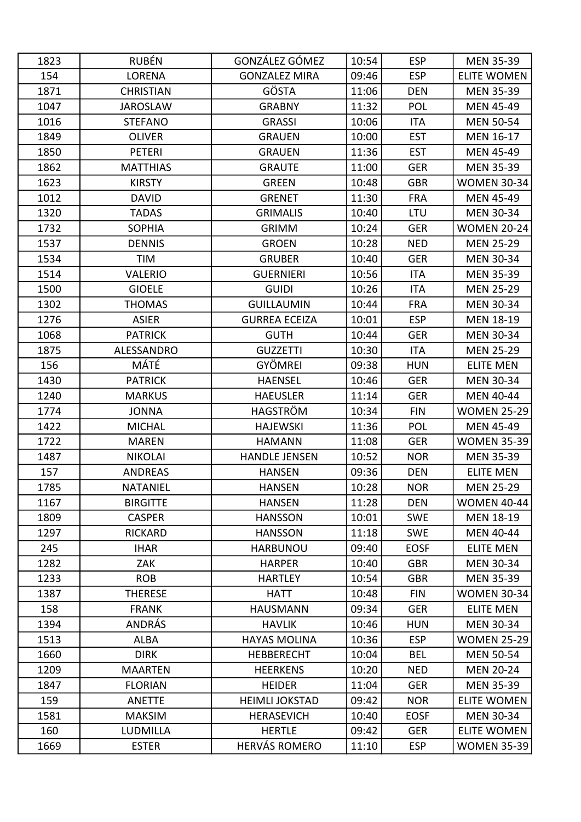| 1823 | <b>RUBÉN</b>     | GONZÁLEZ GÓMEZ        | 10:54 | <b>ESP</b>  | <b>MEN 35-39</b>   |
|------|------------------|-----------------------|-------|-------------|--------------------|
| 154  | <b>LORENA</b>    | <b>GONZALEZ MIRA</b>  | 09:46 | <b>ESP</b>  | <b>ELITE WOMEN</b> |
| 1871 | <b>CHRISTIAN</b> | GÖSTA                 | 11:06 | <b>DEN</b>  | <b>MEN 35-39</b>   |
| 1047 | <b>JAROSLAW</b>  | <b>GRABNY</b>         | 11:32 | POL         | <b>MEN 45-49</b>   |
| 1016 | <b>STEFANO</b>   | <b>GRASSI</b>         | 10:06 | <b>ITA</b>  | <b>MEN 50-54</b>   |
| 1849 | <b>OLIVER</b>    | <b>GRAUEN</b>         | 10:00 | <b>EST</b>  | MEN 16-17          |
| 1850 | <b>PETERI</b>    | <b>GRAUEN</b>         | 11:36 | <b>EST</b>  | <b>MEN 45-49</b>   |
| 1862 | <b>MATTHIAS</b>  | <b>GRAUTE</b>         | 11:00 | <b>GER</b>  | <b>MEN 35-39</b>   |
| 1623 | <b>KIRSTY</b>    | <b>GREEN</b>          | 10:48 | <b>GBR</b>  | <b>WOMEN 30-34</b> |
| 1012 | <b>DAVID</b>     | <b>GRENET</b>         | 11:30 | <b>FRA</b>  | <b>MEN 45-49</b>   |
| 1320 | <b>TADAS</b>     | <b>GRIMALIS</b>       | 10:40 | LTU         | MEN 30-34          |
| 1732 | <b>SOPHIA</b>    | <b>GRIMM</b>          | 10:24 | <b>GER</b>  | <b>WOMEN 20-24</b> |
| 1537 | <b>DENNIS</b>    | <b>GROEN</b>          | 10:28 | <b>NED</b>  | <b>MEN 25-29</b>   |
| 1534 | TIM              | <b>GRUBER</b>         | 10:40 | <b>GER</b>  | <b>MEN 30-34</b>   |
| 1514 | <b>VALERIO</b>   | <b>GUERNIERI</b>      | 10:56 | <b>ITA</b>  | <b>MEN 35-39</b>   |
| 1500 | <b>GIOELE</b>    | <b>GUIDI</b>          | 10:26 | <b>ITA</b>  | <b>MEN 25-29</b>   |
| 1302 | <b>THOMAS</b>    | <b>GUILLAUMIN</b>     | 10:44 | <b>FRA</b>  | <b>MEN 30-34</b>   |
| 1276 | <b>ASIER</b>     | <b>GURREA ECEIZA</b>  | 10:01 | <b>ESP</b>  | <b>MEN 18-19</b>   |
| 1068 | <b>PATRICK</b>   | <b>GUTH</b>           | 10:44 | <b>GER</b>  | <b>MEN 30-34</b>   |
| 1875 | ALESSANDRO       | <b>GUZZETTI</b>       | 10:30 | <b>ITA</b>  | <b>MEN 25-29</b>   |
| 156  | MÁTÉ             | <b>GYÖMREI</b>        | 09:38 | <b>HUN</b>  | <b>ELITE MEN</b>   |
| 1430 | <b>PATRICK</b>   | <b>HAENSEL</b>        | 10:46 | <b>GER</b>  | <b>MEN 30-34</b>   |
| 1240 | <b>MARKUS</b>    | <b>HAEUSLER</b>       | 11:14 | <b>GER</b>  | <b>MEN 40-44</b>   |
| 1774 | <b>JONNA</b>     | HAGSTRÖM              | 10:34 | <b>FIN</b>  | <b>WOMEN 25-29</b> |
| 1422 | <b>MICHAL</b>    | <b>HAJEWSKI</b>       | 11:36 | POL         | <b>MEN 45-49</b>   |
| 1722 | <b>MAREN</b>     | <b>HAMANN</b>         | 11:08 | <b>GER</b>  | <b>WOMEN 35-39</b> |
| 1487 | <b>NIKOLAI</b>   | <b>HANDLE JENSEN</b>  | 10:52 | <b>NOR</b>  | <b>MEN 35-39</b>   |
| 157  | <b>ANDREAS</b>   | <b>HANSEN</b>         | 09:36 | <b>DEN</b>  | <b>ELITE MEN</b>   |
| 1785 | NATANIEL         | <b>HANSEN</b>         | 10:28 | <b>NOR</b>  | <b>MEN 25-29</b>   |
| 1167 | <b>BIRGITTE</b>  | <b>HANSEN</b>         | 11:28 | <b>DEN</b>  | <b>WOMEN 40-44</b> |
| 1809 | <b>CASPER</b>    | <b>HANSSON</b>        | 10:01 | <b>SWE</b>  | MEN 18-19          |
| 1297 | <b>RICKARD</b>   | <b>HANSSON</b>        | 11:18 | <b>SWE</b>  | <b>MEN 40-44</b>   |
| 245  | <b>IHAR</b>      | <b>HARBUNOU</b>       | 09:40 | <b>EOSF</b> | <b>ELITE MEN</b>   |
| 1282 | <b>ZAK</b>       | <b>HARPER</b>         | 10:40 | <b>GBR</b>  | <b>MEN 30-34</b>   |
| 1233 | <b>ROB</b>       | <b>HARTLEY</b>        | 10:54 | <b>GBR</b>  | <b>MEN 35-39</b>   |
| 1387 | <b>THERESE</b>   | <b>HATT</b>           | 10:48 | <b>FIN</b>  | <b>WOMEN 30-34</b> |
| 158  | <b>FRANK</b>     | <b>HAUSMANN</b>       | 09:34 | <b>GER</b>  | <b>ELITE MEN</b>   |
| 1394 | <b>ANDRÁS</b>    | <b>HAVLIK</b>         | 10:46 | <b>HUN</b>  | <b>MEN 30-34</b>   |
| 1513 | ALBA             | <b>HAYAS MOLINA</b>   | 10:36 | <b>ESP</b>  | <b>WOMEN 25-29</b> |
| 1660 | <b>DIRK</b>      | <b>HEBBERECHT</b>     | 10:04 | <b>BEL</b>  | <b>MEN 50-54</b>   |
| 1209 | <b>MAARTEN</b>   | <b>HEERKENS</b>       | 10:20 | <b>NED</b>  | <b>MEN 20-24</b>   |
| 1847 | <b>FLORIAN</b>   | <b>HEIDER</b>         | 11:04 | <b>GER</b>  | <b>MEN 35-39</b>   |
| 159  | <b>ANETTE</b>    | <b>HEIMLI JOKSTAD</b> | 09:42 | <b>NOR</b>  | <b>ELITE WOMEN</b> |
| 1581 | <b>MAKSIM</b>    | <b>HERASEVICH</b>     | 10:40 | <b>EOSF</b> | <b>MEN 30-34</b>   |
| 160  | LUDMILLA         | <b>HERTLE</b>         | 09:42 | <b>GER</b>  | <b>ELITE WOMEN</b> |
| 1669 | <b>ESTER</b>     | <b>HERVÁS ROMERO</b>  | 11:10 | <b>ESP</b>  | <b>WOMEN 35-39</b> |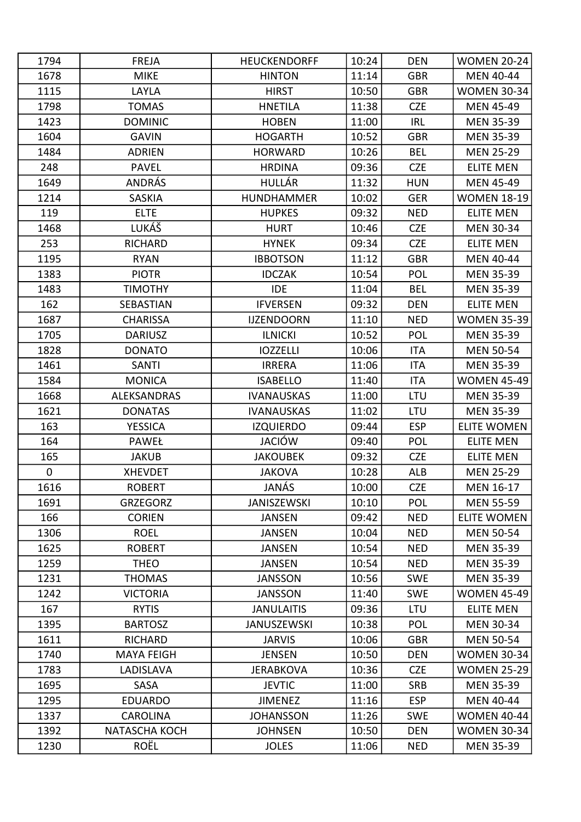| 1794      | <b>FREJA</b>      | <b>HEUCKENDORFF</b> | 10:24 | <b>DEN</b> | <b>WOMEN 20-24</b> |
|-----------|-------------------|---------------------|-------|------------|--------------------|
| 1678      | <b>MIKE</b>       | <b>HINTON</b>       | 11:14 | <b>GBR</b> | MEN 40-44          |
| 1115      | LAYLA             | <b>HIRST</b>        | 10:50 | <b>GBR</b> | <b>WOMEN 30-34</b> |
| 1798      | <b>TOMAS</b>      | <b>HNETILA</b>      | 11:38 | <b>CZE</b> | <b>MEN 45-49</b>   |
| 1423      | <b>DOMINIC</b>    | <b>HOBEN</b>        | 11:00 | <b>IRL</b> | <b>MEN 35-39</b>   |
| 1604      | <b>GAVIN</b>      | <b>HOGARTH</b>      | 10:52 | <b>GBR</b> | <b>MEN 35-39</b>   |
| 1484      | <b>ADRIEN</b>     | <b>HORWARD</b>      | 10:26 | <b>BEL</b> | <b>MEN 25-29</b>   |
| 248       | <b>PAVEL</b>      | <b>HRDINA</b>       | 09:36 | <b>CZE</b> | <b>ELITE MEN</b>   |
| 1649      | <b>ANDRÁS</b>     | HULLÁR              | 11:32 | <b>HUN</b> | <b>MEN 45-49</b>   |
| 1214      | <b>SASKIA</b>     | <b>HUNDHAMMER</b>   | 10:02 | <b>GER</b> | <b>WOMEN 18-19</b> |
| 119       | <b>ELTE</b>       | <b>HUPKES</b>       | 09:32 | <b>NED</b> | <b>ELITE MEN</b>   |
| 1468      | LUKÁŠ             | <b>HURT</b>         | 10:46 | <b>CZE</b> | <b>MEN 30-34</b>   |
| 253       | <b>RICHARD</b>    | <b>HYNEK</b>        | 09:34 | <b>CZE</b> | <b>ELITE MEN</b>   |
| 1195      | <b>RYAN</b>       | <b>IBBOTSON</b>     | 11:12 | <b>GBR</b> | <b>MEN 40-44</b>   |
| 1383      | <b>PIOTR</b>      | <b>IDCZAK</b>       | 10:54 | POL        | <b>MEN 35-39</b>   |
| 1483      | <b>TIMOTHY</b>    | <b>IDE</b>          | 11:04 | <b>BEL</b> | <b>MEN 35-39</b>   |
| 162       | SEBASTIAN         | <b>IFVERSEN</b>     | 09:32 | <b>DEN</b> | <b>ELITE MEN</b>   |
| 1687      | <b>CHARISSA</b>   | <b>IJZENDOORN</b>   | 11:10 | <b>NED</b> | <b>WOMEN 35-39</b> |
| 1705      | <b>DARIUSZ</b>    | <b>ILNICKI</b>      | 10:52 | POL        | <b>MEN 35-39</b>   |
| 1828      | <b>DONATO</b>     | <b>IOZZELLI</b>     | 10:06 | <b>ITA</b> | <b>MEN 50-54</b>   |
| 1461      | <b>SANTI</b>      | <b>IRRERA</b>       | 11:06 | <b>ITA</b> | <b>MEN 35-39</b>   |
| 1584      | <b>MONICA</b>     | <b>ISABELLO</b>     | 11:40 | <b>ITA</b> | <b>WOMEN 45-49</b> |
| 1668      | ALEKSANDRAS       | <b>IVANAUSKAS</b>   | 11:00 | <b>LTU</b> | <b>MEN 35-39</b>   |
| 1621      | <b>DONATAS</b>    | <b>IVANAUSKAS</b>   | 11:02 | LTU        | <b>MEN 35-39</b>   |
| 163       | <b>YESSICA</b>    | <b>IZQUIERDO</b>    | 09:44 | <b>ESP</b> | <b>ELITE WOMEN</b> |
| 164       | <b>PAWEŁ</b>      | JACIÓW              | 09:40 | POL        | <b>ELITE MEN</b>   |
| 165       | <b>JAKUB</b>      | <b>JAKOUBEK</b>     | 09:32 | <b>CZE</b> | <b>ELITE MEN</b>   |
| $\pmb{0}$ | <b>XHEVDET</b>    | <b>JAKOVA</b>       | 10:28 | <b>ALB</b> | <b>MEN 25-29</b>   |
| 1616      | <b>ROBERT</b>     | JANÁS               | 10:00 | <b>CZE</b> | MEN 16-17          |
| 1691      | <b>GRZEGORZ</b>   | <b>JANISZEWSKI</b>  | 10:10 | POL        | <b>MEN 55-59</b>   |
| 166       | <b>CORIEN</b>     | <b>JANSEN</b>       | 09:42 | <b>NED</b> | <b>ELITE WOMEN</b> |
| 1306      | <b>ROEL</b>       | <b>JANSEN</b>       | 10:04 | <b>NED</b> | <b>MEN 50-54</b>   |
| 1625      | <b>ROBERT</b>     | <b>JANSEN</b>       | 10:54 | <b>NED</b> | <b>MEN 35-39</b>   |
| 1259      | <b>THEO</b>       | <b>JANSEN</b>       | 10:54 | <b>NED</b> | <b>MEN 35-39</b>   |
| 1231      | <b>THOMAS</b>     | <b>JANSSON</b>      | 10:56 | <b>SWE</b> | <b>MEN 35-39</b>   |
| 1242      | <b>VICTORIA</b>   | <b>JANSSON</b>      | 11:40 | <b>SWE</b> | <b>WOMEN 45-49</b> |
| 167       | <b>RYTIS</b>      | <b>JANULAITIS</b>   | 09:36 | LTU        | <b>ELITE MEN</b>   |
| 1395      | <b>BARTOSZ</b>    | <b>JANUSZEWSKI</b>  | 10:38 | POL        | <b>MEN 30-34</b>   |
| 1611      | <b>RICHARD</b>    | <b>JARVIS</b>       | 10:06 | <b>GBR</b> | <b>MEN 50-54</b>   |
| 1740      | <b>MAYA FEIGH</b> | <b>JENSEN</b>       | 10:50 | <b>DEN</b> | <b>WOMEN 30-34</b> |
| 1783      | LADISLAVA         | <b>JERABKOVA</b>    | 10:36 | <b>CZE</b> | <b>WOMEN 25-29</b> |
| 1695      | SASA              | <b>JEVTIC</b>       | 11:00 | <b>SRB</b> | <b>MEN 35-39</b>   |
| 1295      | <b>EDUARDO</b>    | <b>JIMENEZ</b>      | 11:16 | <b>ESP</b> | <b>MEN 40-44</b>   |
| 1337      | <b>CAROLINA</b>   | <b>JOHANSSON</b>    | 11:26 | <b>SWE</b> | <b>WOMEN 40-44</b> |
| 1392      | NATASCHA KOCH     | <b>JOHNSEN</b>      | 10:50 | <b>DEN</b> | <b>WOMEN 30-34</b> |
| 1230      | <b>ROËL</b>       | <b>JOLES</b>        | 11:06 | <b>NED</b> | <b>MEN 35-39</b>   |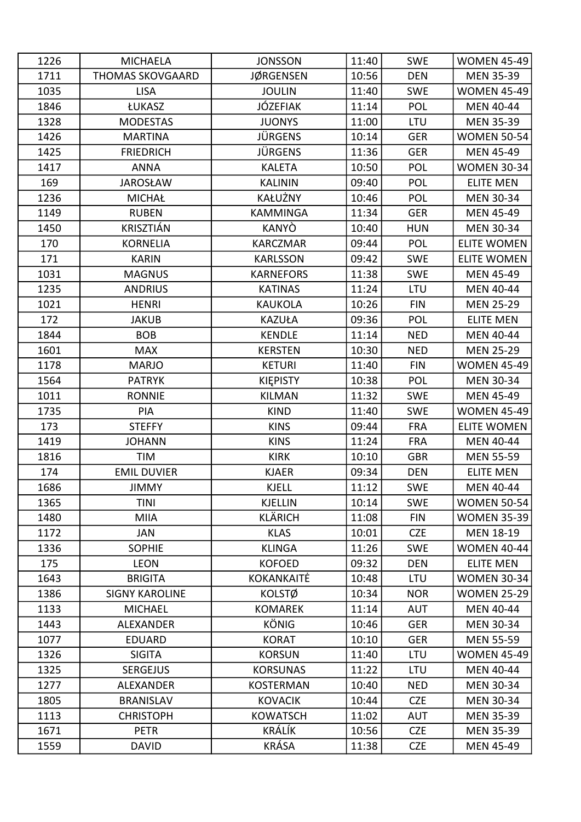| 1226 | <b>MICHAELA</b>         | <b>JONSSON</b>   | 11:40 | <b>SWE</b> | <b>WOMEN 45-49</b> |
|------|-------------------------|------------------|-------|------------|--------------------|
| 1711 | <b>THOMAS SKOVGAARD</b> | <b>JØRGENSEN</b> | 10:56 | <b>DEN</b> | <b>MEN 35-39</b>   |
| 1035 | <b>LISA</b>             | <b>JOULIN</b>    | 11:40 | <b>SWE</b> | <b>WOMEN 45-49</b> |
| 1846 | ŁUKASZ                  | JÓZEFIAK         | 11:14 | POL        | <b>MEN 40-44</b>   |
| 1328 | <b>MODESTAS</b>         | <b>JUONYS</b>    | 11:00 | LTU        | <b>MEN 35-39</b>   |
| 1426 | <b>MARTINA</b>          | JÜRGENS          | 10:14 | <b>GER</b> | <b>WOMEN 50-54</b> |
| 1425 | <b>FRIEDRICH</b>        | JÜRGENS          | 11:36 | <b>GER</b> | <b>MEN 45-49</b>   |
| 1417 | <b>ANNA</b>             | <b>KALETA</b>    | 10:50 | POL        | <b>WOMEN 30-34</b> |
| 169  | <b>JAROSŁAW</b>         | <b>KALININ</b>   | 09:40 | POL        | <b>ELITE MEN</b>   |
| 1236 | <b>MICHAŁ</b>           | KAŁUŻNY          | 10:46 | POL        | <b>MEN 30-34</b>   |
| 1149 | <b>RUBEN</b>            | <b>KAMMINGA</b>  | 11:34 | <b>GER</b> | <b>MEN 45-49</b>   |
| 1450 | <b>KRISZTIÁN</b>        | <b>KANYÒ</b>     | 10:40 | <b>HUN</b> | <b>MEN 30-34</b>   |
| 170  | <b>KORNELIA</b>         | <b>KARCZMAR</b>  | 09:44 | POL        | <b>ELITE WOMEN</b> |
| 171  | <b>KARIN</b>            | <b>KARLSSON</b>  | 09:42 | <b>SWE</b> | <b>ELITE WOMEN</b> |
| 1031 | <b>MAGNUS</b>           | <b>KARNEFORS</b> | 11:38 | <b>SWE</b> | <b>MEN 45-49</b>   |
| 1235 | <b>ANDRIUS</b>          | <b>KATINAS</b>   | 11:24 | <b>LTU</b> | <b>MEN 40-44</b>   |
| 1021 | <b>HENRI</b>            | <b>KAUKOLA</b>   | 10:26 | <b>FIN</b> | <b>MEN 25-29</b>   |
| 172  | <b>JAKUB</b>            | <b>KAZUŁA</b>    | 09:36 | POL        | <b>ELITE MEN</b>   |
| 1844 | <b>BOB</b>              | <b>KENDLE</b>    | 11:14 | <b>NED</b> | <b>MEN 40-44</b>   |
| 1601 | <b>MAX</b>              | <b>KERSTEN</b>   | 10:30 | <b>NED</b> | <b>MEN 25-29</b>   |
| 1178 | <b>MARJO</b>            | <b>KETURI</b>    | 11:40 | <b>FIN</b> | <b>WOMEN 45-49</b> |
| 1564 | <b>PATRYK</b>           | <b>KIEPISTY</b>  | 10:38 | <b>POL</b> | <b>MEN 30-34</b>   |
| 1011 | <b>RONNIE</b>           | <b>KILMAN</b>    | 11:32 | <b>SWE</b> | <b>MEN 45-49</b>   |
| 1735 | PIA                     | <b>KIND</b>      | 11:40 | <b>SWE</b> | <b>WOMEN 45-49</b> |
| 173  | <b>STEFFY</b>           | <b>KINS</b>      | 09:44 | <b>FRA</b> | <b>ELITE WOMEN</b> |
| 1419 | <b>JOHANN</b>           | <b>KINS</b>      | 11:24 | <b>FRA</b> | MEN 40-44          |
| 1816 | TIM                     | <b>KIRK</b>      | 10:10 | <b>GBR</b> | <b>MEN 55-59</b>   |
| 174  | <b>EMIL DUVIER</b>      | <b>KJAER</b>     | 09:34 | <b>DEN</b> | <b>ELITE MEN</b>   |
| 1686 | JIMMY                   | KJELL            | 11:12 | <b>SWE</b> | MEN 40-44          |
| 1365 | <b>TINI</b>             | <b>KJELLIN</b>   | 10:14 | <b>SWE</b> | <b>WOMEN 50-54</b> |
| 1480 | <b>MIIA</b>             | <b>KLÄRICH</b>   | 11:08 | <b>FIN</b> | <b>WOMEN 35-39</b> |
| 1172 | JAN                     | <b>KLAS</b>      | 10:01 | <b>CZE</b> | <b>MEN 18-19</b>   |
| 1336 | <b>SOPHIE</b>           | <b>KLINGA</b>    | 11:26 | <b>SWE</b> | <b>WOMEN 40-44</b> |
| 175  | <b>LEON</b>             | <b>KOFOED</b>    | 09:32 | <b>DEN</b> | <b>ELITE MEN</b>   |
| 1643 | <b>BRIGITA</b>          | KOKANKAITĖ       | 10:48 | LTU        | <b>WOMEN 30-34</b> |
| 1386 | <b>SIGNY KAROLINE</b>   | KOLSTØ           | 10:34 | <b>NOR</b> | <b>WOMEN 25-29</b> |
| 1133 | <b>MICHAEL</b>          | <b>KOMAREK</b>   | 11:14 | <b>AUT</b> | <b>MEN 40-44</b>   |
| 1443 | ALEXANDER               | <b>KÖNIG</b>     | 10:46 | <b>GER</b> | <b>MEN 30-34</b>   |
| 1077 | <b>EDUARD</b>           | <b>KORAT</b>     | 10:10 | <b>GER</b> | <b>MEN 55-59</b>   |
| 1326 | <b>SIGITA</b>           | <b>KORSUN</b>    | 11:40 | LTU        | <b>WOMEN 45-49</b> |
| 1325 | <b>SERGEJUS</b>         | <b>KORSUNAS</b>  | 11:22 | LTU        | <b>MEN 40-44</b>   |
| 1277 | ALEXANDER               | <b>KOSTERMAN</b> | 10:40 | <b>NED</b> | <b>MEN 30-34</b>   |
| 1805 | <b>BRANISLAV</b>        | <b>KOVACIK</b>   | 10:44 | <b>CZE</b> | <b>MEN 30-34</b>   |
| 1113 | <b>CHRISTOPH</b>        | <b>KOWATSCH</b>  | 11:02 | <b>AUT</b> | <b>MEN 35-39</b>   |
| 1671 | <b>PETR</b>             | KRÁLÍK           | 10:56 | <b>CZE</b> | <b>MEN 35-39</b>   |
| 1559 | <b>DAVID</b>            | <b>KRÁSA</b>     | 11:38 | CZE        | <b>MEN 45-49</b>   |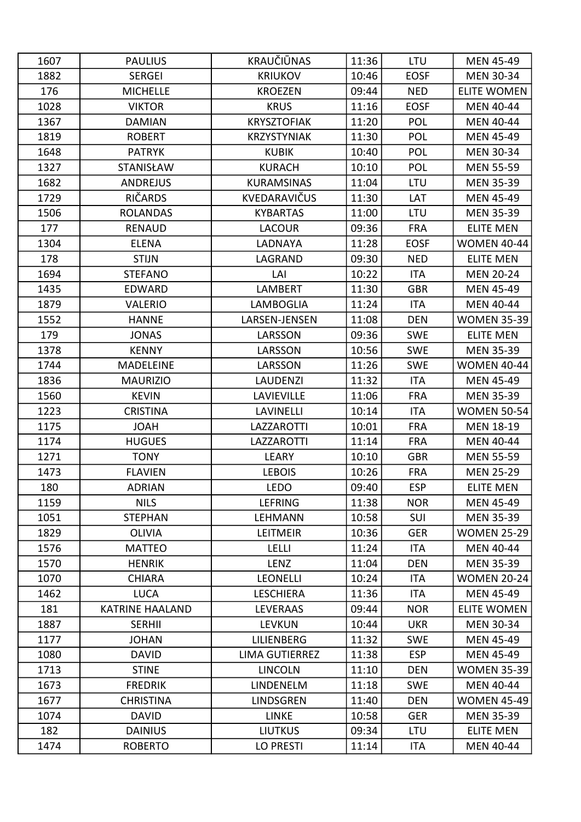| 1607 | <b>PAULIUS</b>         | KRAUČIŪNAS            | 11:36 | LTU         | <b>MEN 45-49</b>   |
|------|------------------------|-----------------------|-------|-------------|--------------------|
| 1882 | <b>SERGEI</b>          | <b>KRIUKOV</b>        | 10:46 | <b>EOSF</b> | <b>MEN 30-34</b>   |
| 176  | <b>MICHELLE</b>        | <b>KROEZEN</b>        | 09:44 | <b>NED</b>  | <b>ELITE WOMEN</b> |
| 1028 | <b>VIKTOR</b>          | <b>KRUS</b>           | 11:16 | <b>EOSF</b> | <b>MEN 40-44</b>   |
| 1367 | <b>DAMIAN</b>          | <b>KRYSZTOFIAK</b>    | 11:20 | POL         | <b>MEN 40-44</b>   |
| 1819 | <b>ROBERT</b>          | <b>KRZYSTYNIAK</b>    | 11:30 | POL         | <b>MEN 45-49</b>   |
| 1648 | <b>PATRYK</b>          | <b>KUBIK</b>          | 10:40 | POL         | <b>MEN 30-34</b>   |
| 1327 | STANISŁAW              | <b>KURACH</b>         | 10:10 | POL         | <b>MEN 55-59</b>   |
| 1682 | <b>ANDREJUS</b>        | <b>KURAMSINAS</b>     | 11:04 | LTU         | <b>MEN 35-39</b>   |
| 1729 | RIČARDS                | KVEDARAVIČUS          | 11:30 | LAT         | <b>MEN 45-49</b>   |
| 1506 | <b>ROLANDAS</b>        | <b>KYBARTAS</b>       | 11:00 | LTU         | <b>MEN 35-39</b>   |
| 177  | <b>RENAUD</b>          | <b>LACOUR</b>         | 09:36 | <b>FRA</b>  | <b>ELITE MEN</b>   |
| 1304 | <b>ELENA</b>           | LADNAYA               | 11:28 | <b>EOSF</b> | <b>WOMEN 40-44</b> |
| 178  | <b>STIJN</b>           | LAGRAND               | 09:30 | <b>NED</b>  | <b>ELITE MEN</b>   |
| 1694 | <b>STEFANO</b>         | LAI                   | 10:22 | <b>ITA</b>  | <b>MEN 20-24</b>   |
| 1435 | <b>EDWARD</b>          | LAMBERT               | 11:30 | <b>GBR</b>  | <b>MEN 45-49</b>   |
| 1879 | <b>VALERIO</b>         | LAMBOGLIA             | 11:24 | <b>ITA</b>  | <b>MEN 40-44</b>   |
| 1552 | <b>HANNE</b>           | LARSEN-JENSEN         | 11:08 | <b>DEN</b>  | <b>WOMEN 35-39</b> |
| 179  | <b>JONAS</b>           | LARSSON               | 09:36 | <b>SWE</b>  | <b>ELITE MEN</b>   |
| 1378 | <b>KENNY</b>           | LARSSON               | 10:56 | <b>SWE</b>  | <b>MEN 35-39</b>   |
| 1744 | <b>MADELEINE</b>       | LARSSON               | 11:26 | <b>SWE</b>  | <b>WOMEN 40-44</b> |
| 1836 | <b>MAURIZIO</b>        | <b>LAUDENZI</b>       | 11:32 | <b>ITA</b>  | <b>MEN 45-49</b>   |
| 1560 | <b>KEVIN</b>           | LAVIEVILLE            | 11:06 | <b>FRA</b>  | <b>MEN 35-39</b>   |
| 1223 | <b>CRISTINA</b>        | LAVINELLI             | 10:14 | ITA         | <b>WOMEN 50-54</b> |
| 1175 | <b>HAOL</b>            | LAZZAROTTI            | 10:01 | <b>FRA</b>  | MEN 18-19          |
| 1174 | <b>HUGUES</b>          | LAZZAROTTI            | 11:14 | <b>FRA</b>  | MEN 40-44          |
| 1271 | <b>TONY</b>            | <b>LEARY</b>          | 10:10 | <b>GBR</b>  | <b>MEN 55-59</b>   |
| 1473 | <b>FLAVIEN</b>         | <b>LEBOIS</b>         | 10:26 | <b>FRA</b>  | <b>MEN 25-29</b>   |
| 180  | <b>ADRIAN</b>          | <b>LEDO</b>           | 09:40 | <b>ESP</b>  | <b>ELITE MEN</b>   |
| 1159 | <b>NILS</b>            | <b>LEFRING</b>        | 11:38 | <b>NOR</b>  | <b>MEN 45-49</b>   |
| 1051 | <b>STEPHAN</b>         | <b>LEHMANN</b>        | 10:58 | SUI         | <b>MEN 35-39</b>   |
| 1829 | <b>OLIVIA</b>          | <b>LEITMEIR</b>       | 10:36 | <b>GER</b>  | <b>WOMEN 25-29</b> |
| 1576 | <b>MATTEO</b>          | <b>LELLI</b>          | 11:24 | <b>ITA</b>  | <b>MEN 40-44</b>   |
| 1570 | <b>HENRIK</b>          | LENZ                  | 11:04 | <b>DEN</b>  | <b>MEN 35-39</b>   |
| 1070 | <b>CHIARA</b>          | <b>LEONELLI</b>       | 10:24 | <b>ITA</b>  | <b>WOMEN 20-24</b> |
| 1462 | <b>LUCA</b>            | <b>LESCHIERA</b>      | 11:36 | <b>ITA</b>  | <b>MEN 45-49</b>   |
| 181  | <b>KATRINE HAALAND</b> | <b>LEVERAAS</b>       | 09:44 | <b>NOR</b>  | <b>ELITE WOMEN</b> |
| 1887 | <b>SERHII</b>          | <b>LEVKUN</b>         | 10:44 | <b>UKR</b>  | <b>MEN 30-34</b>   |
| 1177 | <b>JOHAN</b>           | LILIENBERG            | 11:32 | <b>SWE</b>  | <b>MEN 45-49</b>   |
| 1080 | <b>DAVID</b>           | <b>LIMA GUTIERREZ</b> | 11:38 | <b>ESP</b>  | <b>MEN 45-49</b>   |
| 1713 | <b>STINE</b>           | <b>LINCOLN</b>        | 11:10 | <b>DEN</b>  | <b>WOMEN 35-39</b> |
| 1673 | <b>FREDRIK</b>         | LINDENELM             | 11:18 | <b>SWE</b>  | MEN 40-44          |
| 1677 | <b>CHRISTINA</b>       | LINDSGREN             | 11:40 | <b>DEN</b>  | <b>WOMEN 45-49</b> |
| 1074 | <b>DAVID</b>           | <b>LINKE</b>          | 10:58 | <b>GER</b>  | <b>MEN 35-39</b>   |
| 182  | <b>DAINIUS</b>         | <b>LIUTKUS</b>        | 09:34 | LTU         | <b>ELITE MEN</b>   |
| 1474 | <b>ROBERTO</b>         | <b>LO PRESTI</b>      | 11:14 | ITA         | MEN 40-44          |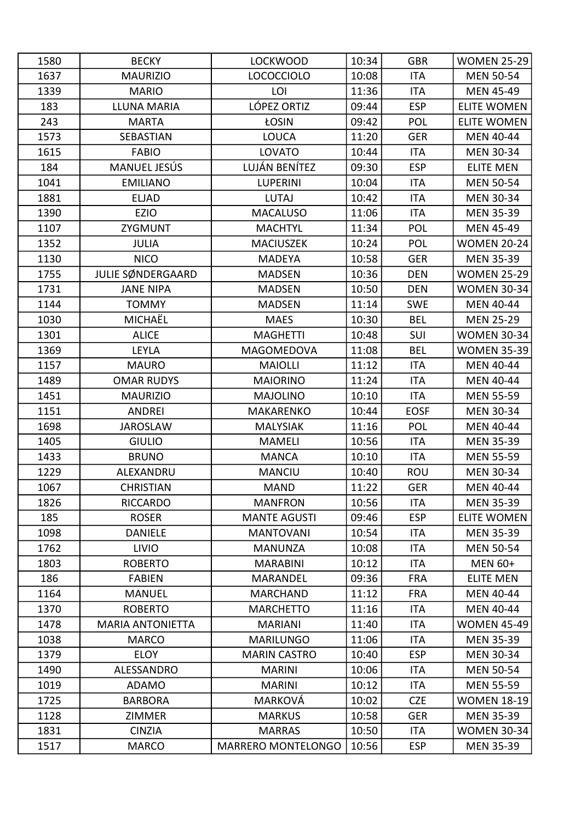| 1580 | <b>BECKY</b>            | <b>LOCKWOOD</b>     | 10:34 | <b>GBR</b>  | <b>WOMEN 25-29</b> |
|------|-------------------------|---------------------|-------|-------------|--------------------|
| 1637 | <b>MAURIZIO</b>         | <b>LOCOCCIOLO</b>   | 10:08 | <b>ITA</b>  | <b>MEN 50-54</b>   |
| 1339 | <b>MARIO</b>            | LOI                 | 11:36 | <b>ITA</b>  | <b>MEN 45-49</b>   |
| 183  | <b>LLUNA MARIA</b>      | LÓPEZ ORTIZ         | 09:44 | <b>ESP</b>  | <b>ELITE WOMEN</b> |
| 243  | <b>MARTA</b>            | ŁOSIN               | 09:42 | <b>POL</b>  | <b>ELITE WOMEN</b> |
| 1573 | <b>SEBASTIAN</b>        | <b>LOUCA</b>        | 11:20 | <b>GER</b>  | <b>MEN 40-44</b>   |
| 1615 | <b>FABIO</b>            | <b>LOVATO</b>       | 10:44 | <b>ITA</b>  | MEN 30-34          |
| 184  | MANUEL JESÚS            | LUJÁN BENÍTEZ       | 09:30 | <b>ESP</b>  | <b>ELITE MEN</b>   |
| 1041 | <b>EMILIANO</b>         | <b>LUPERINI</b>     | 10:04 | <b>ITA</b>  | <b>MEN 50-54</b>   |
| 1881 | <b>ELJAD</b>            | <b>LUTAJ</b>        | 10:42 | <b>ITA</b>  | <b>MEN 30-34</b>   |
| 1390 | <b>EZIO</b>             | <b>MACALUSO</b>     | 11:06 | <b>ITA</b>  | <b>MEN 35-39</b>   |
| 1107 | ZYGMUNT                 | <b>MACHTYL</b>      | 11:34 | POL         | <b>MEN 45-49</b>   |
| 1352 | <b>JULIA</b>            | <b>MACIUSZEK</b>    | 10:24 | POL         | <b>WOMEN 20-24</b> |
| 1130 | <b>NICO</b>             | <b>MADEYA</b>       | 10:58 | <b>GER</b>  | <b>MEN 35-39</b>   |
| 1755 | JULIE SØNDERGAARD       | <b>MADSEN</b>       | 10:36 | <b>DEN</b>  | <b>WOMEN 25-29</b> |
| 1731 | <b>JANE NIPA</b>        | <b>MADSEN</b>       | 10:50 | <b>DEN</b>  | <b>WOMEN 30-34</b> |
| 1144 | <b>TOMMY</b>            | <b>MADSEN</b>       | 11:14 | <b>SWE</b>  | <b>MEN 40-44</b>   |
| 1030 | MICHAËL                 | <b>MAES</b>         | 10:30 | <b>BEL</b>  | <b>MEN 25-29</b>   |
| 1301 | <b>ALICE</b>            | <b>MAGHETTI</b>     | 10:48 | SUI         | <b>WOMEN 30-34</b> |
| 1369 | <b>LEYLA</b>            | MAGOMEDOVA          | 11:08 | <b>BEL</b>  | <b>WOMEN 35-39</b> |
| 1157 | <b>MAURO</b>            | <b>MAIOLLI</b>      | 11:12 | <b>ITA</b>  | <b>MEN 40-44</b>   |
| 1489 | <b>OMAR RUDYS</b>       | <b>MAIORINO</b>     | 11:24 | <b>ITA</b>  | <b>MEN 40-44</b>   |
| 1451 | <b>MAURIZIO</b>         | <b>MAJOLINO</b>     | 10:10 | <b>ITA</b>  | <b>MEN 55-59</b>   |
| 1151 | <b>ANDREI</b>           | MAKARENKO           | 10:44 | <b>EOSF</b> | <b>MEN 30-34</b>   |
| 1698 | <b>JAROSLAW</b>         | <b>MALYSIAK</b>     | 11:16 | <b>POL</b>  | <b>MEN 40-44</b>   |
| 1405 | <b>GIULIO</b>           | <b>MAMELI</b>       | 10:56 | <b>ITA</b>  | <b>MEN 35-39</b>   |
| 1433 | <b>BRUNO</b>            | <b>MANCA</b>        | 10:10 | <b>ITA</b>  | <b>MEN 55-59</b>   |
| 1229 | ALEXANDRU               | <b>MANCIU</b>       | 10:40 | ROU         | <b>MEN 30-34</b>   |
| 1067 | <b>CHRISTIAN</b>        | <b>MAND</b>         | 11:22 | <b>GER</b>  | MEN 40-44          |
| 1826 | <b>RICCARDO</b>         | <b>MANFRON</b>      | 10:56 | ITA         | <b>MEN 35-39</b>   |
| 185  | <b>ROSER</b>            | <b>MANTE AGUSTI</b> | 09:46 | <b>ESP</b>  | <b>ELITE WOMEN</b> |
| 1098 | <b>DANIELE</b>          | <b>MANTOVANI</b>    | 10:54 | ITA         | <b>MEN 35-39</b>   |
| 1762 | <b>LIVIO</b>            | <b>MANUNZA</b>      | 10:08 | <b>ITA</b>  | <b>MEN 50-54</b>   |
| 1803 | <b>ROBERTO</b>          | <b>MARABINI</b>     | 10:12 | ITA         | <b>MEN 60+</b>     |
| 186  | <b>FABIEN</b>           | <b>MARANDEL</b>     | 09:36 | <b>FRA</b>  | <b>ELITE MEN</b>   |
| 1164 | <b>MANUEL</b>           | <b>MARCHAND</b>     | 11:12 | <b>FRA</b>  | MEN 40-44          |
| 1370 | <b>ROBERTO</b>          | <b>MARCHETTO</b>    | 11:16 | ITA         | <b>MEN 40-44</b>   |
| 1478 | <b>MARIA ANTONIETTA</b> | <b>MARIANI</b>      | 11:40 | <b>ITA</b>  | <b>WOMEN 45-49</b> |
| 1038 | <b>MARCO</b>            | <b>MARILUNGO</b>    | 11:06 | ITA         | <b>MEN 35-39</b>   |
| 1379 | <b>ELOY</b>             | <b>MARIN CASTRO</b> | 10:40 | <b>ESP</b>  | <b>MEN 30-34</b>   |
| 1490 | ALESSANDRO              | <b>MARINI</b>       | 10:06 | <b>ITA</b>  | <b>MEN 50-54</b>   |
| 1019 | <b>ADAMO</b>            | <b>MARINI</b>       | 10:12 | ITA         | <b>MEN 55-59</b>   |
| 1725 | <b>BARBORA</b>          | MARKOVÁ             | 10:02 | <b>CZE</b>  | <b>WOMEN 18-19</b> |
| 1128 | <b>ZIMMER</b>           | <b>MARKUS</b>       | 10:58 | <b>GER</b>  | <b>MEN 35-39</b>   |
| 1831 | <b>CINZIA</b>           | <b>MARRAS</b>       | 10:50 | ITA         | <b>WOMEN 30-34</b> |
| 1517 | <b>MARCO</b>            | MARRERO MONTELONGO  | 10:56 | <b>ESP</b>  | <b>MEN 35-39</b>   |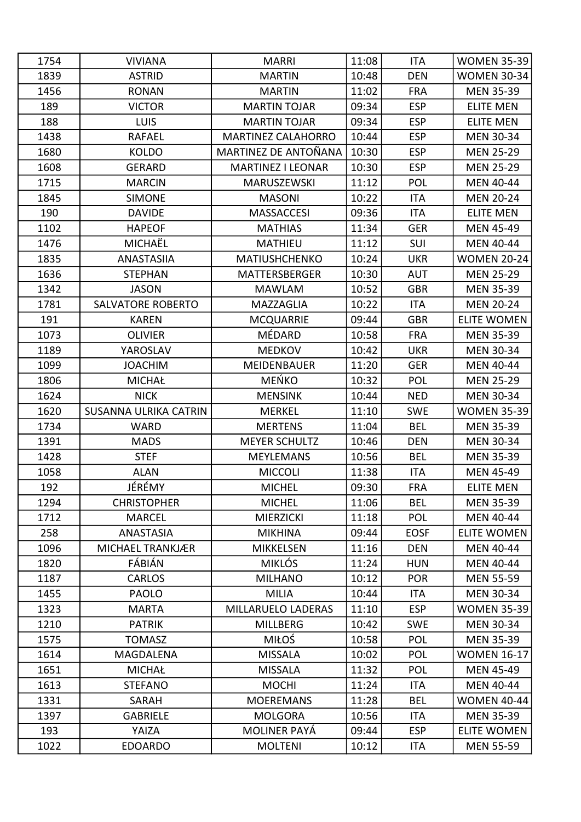| 1754 | <b>VIVIANA</b>           | <b>MARRI</b>              | 11:08 | <b>ITA</b>  | <b>WOMEN 35-39</b> |
|------|--------------------------|---------------------------|-------|-------------|--------------------|
| 1839 | <b>ASTRID</b>            | <b>MARTIN</b>             | 10:48 | <b>DEN</b>  | <b>WOMEN 30-34</b> |
| 1456 | <b>RONAN</b>             | <b>MARTIN</b>             | 11:02 | <b>FRA</b>  | <b>MEN 35-39</b>   |
| 189  | <b>VICTOR</b>            | <b>MARTIN TOJAR</b>       | 09:34 | <b>ESP</b>  | <b>ELITE MEN</b>   |
| 188  | <b>LUIS</b>              | <b>MARTIN TOJAR</b>       | 09:34 | <b>ESP</b>  | <b>ELITE MEN</b>   |
| 1438 | <b>RAFAEL</b>            | <b>MARTINEZ CALAHORRO</b> | 10:44 | <b>ESP</b>  | <b>MEN 30-34</b>   |
| 1680 | <b>KOLDO</b>             | MARTINEZ DE ANTOÑANA      | 10:30 | <b>ESP</b>  | <b>MEN 25-29</b>   |
| 1608 | <b>GERARD</b>            | <b>MARTINEZ I LEONAR</b>  | 10:30 | <b>ESP</b>  | <b>MEN 25-29</b>   |
| 1715 | <b>MARCIN</b>            | MARUSZEWSKI               | 11:12 | <b>POL</b>  | <b>MEN 40-44</b>   |
| 1845 | <b>SIMONE</b>            | <b>MASONI</b>             | 10:22 | <b>ITA</b>  | <b>MEN 20-24</b>   |
| 190  | <b>DAVIDE</b>            | <b>MASSACCESI</b>         | 09:36 | <b>ITA</b>  | <b>ELITE MEN</b>   |
| 1102 | <b>HAPEOF</b>            | <b>MATHIAS</b>            | 11:34 | <b>GER</b>  | <b>MEN 45-49</b>   |
| 1476 | MICHAËL                  | <b>MATHIEU</b>            | 11:12 | SUI         | <b>MEN 40-44</b>   |
| 1835 | <b>ANASTASIIA</b>        | <b>MATIUSHCHENKO</b>      | 10:24 | <b>UKR</b>  | <b>WOMEN 20-24</b> |
| 1636 | <b>STEPHAN</b>           | <b>MATTERSBERGER</b>      | 10:30 | <b>AUT</b>  | <b>MEN 25-29</b>   |
| 1342 | <b>JASON</b>             | <b>MAWLAM</b>             | 10:52 | <b>GBR</b>  | <b>MEN 35-39</b>   |
| 1781 | <b>SALVATORE ROBERTO</b> | MAZZAGLIA                 | 10:22 | <b>ITA</b>  | <b>MEN 20-24</b>   |
| 191  | <b>KAREN</b>             | <b>MCQUARRIE</b>          | 09:44 | <b>GBR</b>  | <b>ELITE WOMEN</b> |
| 1073 | <b>OLIVIER</b>           | MÉDARD                    | 10:58 | <b>FRA</b>  | <b>MEN 35-39</b>   |
| 1189 | YAROSLAV                 | <b>MEDKOV</b>             | 10:42 | <b>UKR</b>  | <b>MEN 30-34</b>   |
| 1099 | <b>JOACHIM</b>           | <b>MEIDENBAUER</b>        | 11:20 | <b>GER</b>  | <b>MEN 40-44</b>   |
| 1806 | <b>MICHAŁ</b>            | <b>MEŃKO</b>              | 10:32 | <b>POL</b>  | <b>MEN 25-29</b>   |
| 1624 | <b>NICK</b>              | <b>MENSINK</b>            | 10:44 | <b>NED</b>  | <b>MEN 30-34</b>   |
| 1620 | SUSANNA ULRIKA CATRIN    | <b>MERKEL</b>             | 11:10 | <b>SWE</b>  | <b>WOMEN 35-39</b> |
| 1734 | <b>WARD</b>              | <b>MERTENS</b>            | 11:04 | <b>BEL</b>  | <b>MEN 35-39</b>   |
| 1391 | <b>MADS</b>              | <b>MEYER SCHULTZ</b>      | 10:46 | <b>DEN</b>  | <b>MEN 30-34</b>   |
| 1428 | <b>STEF</b>              | <b>MEYLEMANS</b>          | 10:56 | <b>BEL</b>  | <b>MEN 35-39</b>   |
| 1058 | <b>ALAN</b>              | <b>MICCOLI</b>            | 11:38 | <b>ITA</b>  | <b>MEN 45-49</b>   |
| 192  | JÉRÉMY                   | <b>MICHEL</b>             | 09:30 | <b>FRA</b>  | <b>ELITE MEN</b>   |
| 1294 | <b>CHRISTOPHER</b>       | <b>MICHEL</b>             | 11:06 | <b>BEL</b>  | <b>MEN 35-39</b>   |
| 1712 | <b>MARCEL</b>            | <b>MIERZICKI</b>          | 11:18 | <b>POL</b>  | <b>MEN 40-44</b>   |
| 258  | <b>ANASTASIA</b>         | <b>MIKHINA</b>            | 09:44 | <b>EOSF</b> | <b>ELITE WOMEN</b> |
| 1096 | MICHAEL TRANKJÆR         | <b>MIKKELSEN</b>          | 11:16 | <b>DEN</b>  | <b>MEN 40-44</b>   |
| 1820 | FÁBIÁN                   | <b>MIKLÓS</b>             | 11:24 | <b>HUN</b>  | <b>MEN 40-44</b>   |
| 1187 | <b>CARLOS</b>            | <b>MILHANO</b>            | 10:12 | <b>POR</b>  | <b>MEN 55-59</b>   |
| 1455 | <b>PAOLO</b>             | <b>MILIA</b>              | 10:44 | ITA         | <b>MEN 30-34</b>   |
| 1323 | <b>MARTA</b>             | MILLARUELO LADERAS        | 11:10 | <b>ESP</b>  | <b>WOMEN 35-39</b> |
| 1210 | <b>PATRIK</b>            | <b>MILLBERG</b>           | 10:42 | <b>SWE</b>  | <b>MEN 30-34</b>   |
| 1575 | <b>TOMASZ</b>            | MIŁOŚ                     | 10:58 | <b>POL</b>  | <b>MEN 35-39</b>   |
| 1614 | MAGDALENA                | <b>MISSALA</b>            | 10:02 | POL         | <b>WOMEN 16-17</b> |
| 1651 | <b>MICHAŁ</b>            | <b>MISSALA</b>            | 11:32 | POL         | <b>MEN 45-49</b>   |
| 1613 | <b>STEFANO</b>           | <b>MOCHI</b>              | 11:24 | ITA         | <b>MEN 40-44</b>   |
| 1331 | SARAH                    | <b>MOEREMANS</b>          | 11:28 | <b>BEL</b>  | <b>WOMEN 40-44</b> |
| 1397 | <b>GABRIELE</b>          | <b>MOLGORA</b>            | 10:56 | ITA         | <b>MEN 35-39</b>   |
| 193  | YAIZA                    | <b>MOLINER PAYÁ</b>       | 09:44 | <b>ESP</b>  | <b>ELITE WOMEN</b> |
| 1022 | <b>EDOARDO</b>           | <b>MOLTENI</b>            | 10:12 | ITA         | <b>MEN 55-59</b>   |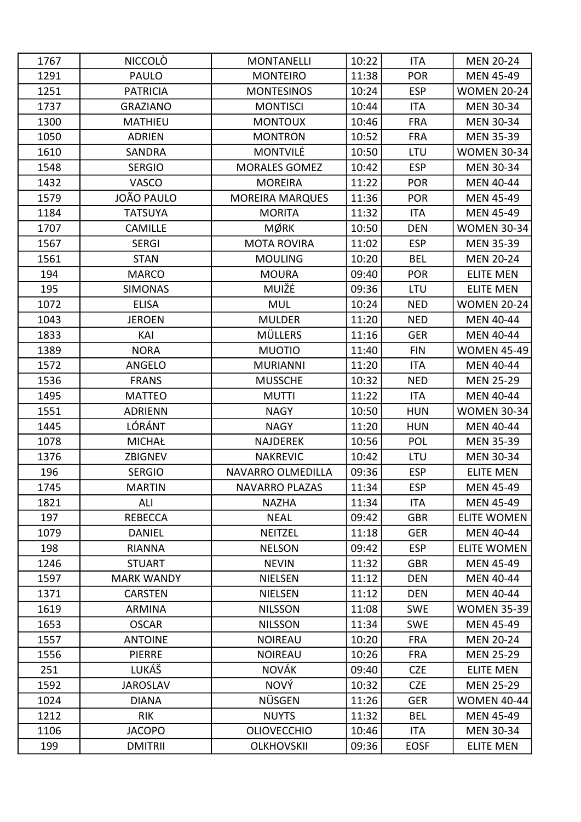| 1767 | <b>NICCOLÒ</b>    | <b>MONTANELLI</b>      | 10:22 | <b>ITA</b>  | <b>MEN 20-24</b>   |
|------|-------------------|------------------------|-------|-------------|--------------------|
| 1291 | <b>PAULO</b>      | <b>MONTEIRO</b>        | 11:38 | <b>POR</b>  | <b>MEN 45-49</b>   |
| 1251 | <b>PATRICIA</b>   | <b>MONTESINOS</b>      | 10:24 | <b>ESP</b>  | <b>WOMEN 20-24</b> |
| 1737 | <b>GRAZIANO</b>   | <b>MONTISCI</b>        | 10:44 | <b>ITA</b>  | <b>MEN 30-34</b>   |
| 1300 | <b>MATHIEU</b>    | <b>MONTOUX</b>         | 10:46 | <b>FRA</b>  | <b>MEN 30-34</b>   |
| 1050 | <b>ADRIEN</b>     | <b>MONTRON</b>         | 10:52 | <b>FRA</b>  | <b>MEN 35-39</b>   |
| 1610 | SANDRA            | <b>MONTVILE</b>        | 10:50 | LTU         | <b>WOMEN 30-34</b> |
| 1548 | <b>SERGIO</b>     | <b>MORALES GOMEZ</b>   | 10:42 | <b>ESP</b>  | <b>MEN 30-34</b>   |
| 1432 | <b>VASCO</b>      | <b>MOREIRA</b>         | 11:22 | <b>POR</b>  | <b>MEN 40-44</b>   |
| 1579 | JOÃO PAULO        | <b>MOREIRA MARQUES</b> | 11:36 | <b>POR</b>  | <b>MEN 45-49</b>   |
| 1184 | <b>TATSUYA</b>    | <b>MORITA</b>          | 11:32 | <b>ITA</b>  | <b>MEN 45-49</b>   |
| 1707 | <b>CAMILLE</b>    | <b>MØRK</b>            | 10:50 | <b>DEN</b>  | <b>WOMEN 30-34</b> |
| 1567 | <b>SERGI</b>      | <b>MOTA ROVIRA</b>     | 11:02 | <b>ESP</b>  | <b>MEN 35-39</b>   |
| 1561 | <b>STAN</b>       | <b>MOULING</b>         | 10:20 | <b>BEL</b>  | <b>MEN 20-24</b>   |
| 194  | <b>MARCO</b>      | <b>MOURA</b>           | 09:40 | <b>POR</b>  | <b>ELITE MEN</b>   |
| 195  | <b>SIMONAS</b>    | MUIŽĖ                  | 09:36 | LTU         | <b>ELITE MEN</b>   |
| 1072 | <b>ELISA</b>      | <b>MUL</b>             | 10:24 | <b>NED</b>  | <b>WOMEN 20-24</b> |
| 1043 | <b>JEROEN</b>     | <b>MULDER</b>          | 11:20 | <b>NED</b>  | <b>MEN 40-44</b>   |
| 1833 | KAI               | <b>MÜLLERS</b>         | 11:16 | <b>GER</b>  | <b>MEN 40-44</b>   |
| 1389 | <b>NORA</b>       | <b>MUOTIO</b>          | 11:40 | <b>FIN</b>  | <b>WOMEN 45-49</b> |
| 1572 | ANGELO            | <b>MURIANNI</b>        | 11:20 | <b>ITA</b>  | MEN 40-44          |
| 1536 | <b>FRANS</b>      | <b>MUSSCHE</b>         | 10:32 | <b>NED</b>  | <b>MEN 25-29</b>   |
| 1495 | <b>MATTEO</b>     | <b>MUTTI</b>           | 11:22 | <b>ITA</b>  | <b>MEN 40-44</b>   |
| 1551 | <b>ADRIENN</b>    | <b>NAGY</b>            | 10:50 | <b>HUN</b>  | <b>WOMEN 30-34</b> |
| 1445 | LÓRÁNT            | <b>NAGY</b>            | 11:20 | <b>HUN</b>  | <b>MEN 40-44</b>   |
| 1078 | <b>MICHAŁ</b>     | <b>NAJDEREK</b>        | 10:56 | <b>POL</b>  | <b>MEN 35-39</b>   |
| 1376 | <b>ZBIGNEV</b>    | <b>NAKREVIC</b>        | 10:42 | LTU         | <b>MEN 30-34</b>   |
| 196  | <b>SERGIO</b>     | NAVARRO OLMEDILLA      | 09:36 | <b>ESP</b>  | <b>ELITE MEN</b>   |
| 1745 | <b>MARTIN</b>     | <b>NAVARRO PLAZAS</b>  | 11:34 | <b>ESP</b>  | MEN 45-49          |
| 1821 | ALI               | <b>NAZHA</b>           | 11:34 | ITA         | <b>MEN 45-49</b>   |
| 197  | <b>REBECCA</b>    | <b>NEAL</b>            | 09:42 | <b>GBR</b>  | <b>ELITE WOMEN</b> |
| 1079 | <b>DANIEL</b>     | <b>NEITZEL</b>         | 11:18 | <b>GER</b>  | <b>MEN 40-44</b>   |
| 198  | <b>RIANNA</b>     | <b>NELSON</b>          | 09:42 | <b>ESP</b>  | <b>ELITE WOMEN</b> |
| 1246 | <b>STUART</b>     | <b>NEVIN</b>           | 11:32 | <b>GBR</b>  | <b>MEN 45-49</b>   |
| 1597 | <b>MARK WANDY</b> | <b>NIELSEN</b>         | 11:12 | <b>DEN</b>  | <b>MEN 40-44</b>   |
| 1371 | <b>CARSTEN</b>    | <b>NIELSEN</b>         | 11:12 | <b>DEN</b>  | MEN 40-44          |
| 1619 | <b>ARMINA</b>     | <b>NILSSON</b>         | 11:08 | <b>SWE</b>  | <b>WOMEN 35-39</b> |
| 1653 | <b>OSCAR</b>      | <b>NILSSON</b>         | 11:34 | <b>SWE</b>  | <b>MEN 45-49</b>   |
| 1557 | <b>ANTOINE</b>    | <b>NOIREAU</b>         | 10:20 | <b>FRA</b>  | <b>MEN 20-24</b>   |
| 1556 | <b>PIERRE</b>     | <b>NOIREAU</b>         | 10:26 | <b>FRA</b>  | <b>MEN 25-29</b>   |
| 251  | LUKÁŠ             | <b>NOVÁK</b>           | 09:40 | <b>CZE</b>  | <b>ELITE MEN</b>   |
| 1592 | <b>JAROSLAV</b>   | <b>NOVÝ</b>            | 10:32 | <b>CZE</b>  | <b>MEN 25-29</b>   |
| 1024 | <b>DIANA</b>      | <b>NÜSGEN</b>          | 11:26 | <b>GER</b>  | <b>WOMEN 40-44</b> |
| 1212 | <b>RIK</b>        | <b>NUYTS</b>           | 11:32 | <b>BEL</b>  | <b>MEN 45-49</b>   |
| 1106 | <b>JACOPO</b>     | <b>OLIOVECCHIO</b>     | 10:46 | ITA         | <b>MEN 30-34</b>   |
| 199  | <b>DMITRII</b>    | <b>OLKHOVSKII</b>      | 09:36 | <b>EOSF</b> | <b>ELITE MEN</b>   |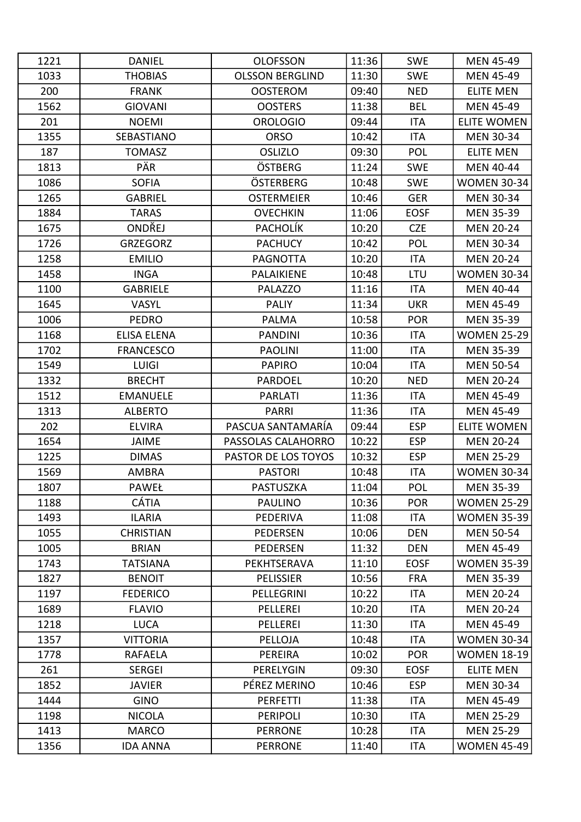| 1221 | <b>DANIEL</b>      | <b>OLOFSSON</b>        | 11:36 | <b>SWE</b>  | <b>MEN 45-49</b>   |
|------|--------------------|------------------------|-------|-------------|--------------------|
| 1033 | <b>THOBIAS</b>     | <b>OLSSON BERGLIND</b> | 11:30 | <b>SWE</b>  | <b>MEN 45-49</b>   |
| 200  | <b>FRANK</b>       | <b>OOSTEROM</b>        | 09:40 | <b>NED</b>  | <b>ELITE MEN</b>   |
| 1562 | <b>GIOVANI</b>     | <b>OOSTERS</b>         | 11:38 | <b>BEL</b>  | <b>MEN 45-49</b>   |
| 201  | <b>NOEMI</b>       | <b>OROLOGIO</b>        | 09:44 | <b>ITA</b>  | <b>ELITE WOMEN</b> |
| 1355 | SEBASTIANO         | <b>ORSO</b>            | 10:42 | <b>ITA</b>  | <b>MEN 30-34</b>   |
| 187  | <b>TOMASZ</b>      | <b>OSLIZLO</b>         | 09:30 | POL         | <b>ELITE MEN</b>   |
| 1813 | PÄR                | ÖSTBERG                | 11:24 | <b>SWE</b>  | <b>MEN 40-44</b>   |
| 1086 | <b>SOFIA</b>       | ÖSTERBERG              | 10:48 | <b>SWE</b>  | <b>WOMEN 30-34</b> |
| 1265 | <b>GABRIEL</b>     | <b>OSTERMEIER</b>      | 10:46 | <b>GER</b>  | <b>MEN 30-34</b>   |
| 1884 | <b>TARAS</b>       | <b>OVECHKIN</b>        | 11:06 | <b>EOSF</b> | <b>MEN 35-39</b>   |
| 1675 | ONDŘEJ             | <b>PACHOLÍK</b>        | 10:20 | <b>CZE</b>  | <b>MEN 20-24</b>   |
| 1726 | <b>GRZEGORZ</b>    | <b>PACHUCY</b>         | 10:42 | POL         | <b>MEN 30-34</b>   |
| 1258 | <b>EMILIO</b>      | <b>PAGNOTTA</b>        | 10:20 | ITA         | <b>MEN 20-24</b>   |
| 1458 | <b>INGA</b>        | PALAIKIENE             | 10:48 | LTU         | <b>WOMEN 30-34</b> |
| 1100 | <b>GABRIELE</b>    | <b>PALAZZO</b>         | 11:16 | ITA         | <b>MEN 40-44</b>   |
| 1645 | <b>VASYL</b>       | <b>PALIY</b>           | 11:34 | <b>UKR</b>  | <b>MEN 45-49</b>   |
| 1006 | <b>PEDRO</b>       | PALMA                  | 10:58 | <b>POR</b>  | <b>MEN 35-39</b>   |
| 1168 | <b>ELISA ELENA</b> | <b>PANDINI</b>         | 10:36 | <b>ITA</b>  | <b>WOMEN 25-29</b> |
| 1702 | <b>FRANCESCO</b>   | <b>PAOLINI</b>         | 11:00 | <b>ITA</b>  | <b>MEN 35-39</b>   |
| 1549 | <b>LUIGI</b>       | <b>PAPIRO</b>          | 10:04 | ITA         | <b>MEN 50-54</b>   |
| 1332 | <b>BRECHT</b>      | <b>PARDOEL</b>         | 10:20 | <b>NED</b>  | <b>MEN 20-24</b>   |
| 1512 | <b>EMANUELE</b>    | <b>PARLATI</b>         | 11:36 | <b>ITA</b>  | <b>MEN 45-49</b>   |
| 1313 | <b>ALBERTO</b>     | <b>PARRI</b>           | 11:36 | ITA         | <b>MEN 45-49</b>   |
| 202  | <b>ELVIRA</b>      | PASCUA SANTAMARÍA      | 09:44 | <b>ESP</b>  | <b>ELITE WOMEN</b> |
| 1654 | <b>JAIME</b>       | PASSOLAS CALAHORRO     | 10:22 | <b>ESP</b>  | <b>MEN 20-24</b>   |
| 1225 | <b>DIMAS</b>       | PASTOR DE LOS TOYOS    | 10:32 | <b>ESP</b>  | <b>MEN 25-29</b>   |
| 1569 | <b>AMBRA</b>       | <b>PASTORI</b>         | 10:48 | <b>ITA</b>  | <b>WOMEN 30-34</b> |
| 1807 | <b>PAWEŁ</b>       | PASTUSZKA              | 11:04 | <b>POL</b>  | <b>MEN 35-39</b>   |
| 1188 | <b>CÁTIA</b>       | <b>PAULINO</b>         | 10:36 | <b>POR</b>  | <b>WOMEN 25-29</b> |
| 1493 | <b>ILARIA</b>      | PEDERIVA               | 11:08 | ITA         | <b>WOMEN 35-39</b> |
| 1055 | <b>CHRISTIAN</b>   | <b>PEDERSEN</b>        | 10:06 | <b>DEN</b>  | <b>MEN 50-54</b>   |
| 1005 | <b>BRIAN</b>       | <b>PEDERSEN</b>        | 11:32 | <b>DEN</b>  | <b>MEN 45-49</b>   |
| 1743 | <b>TATSIANA</b>    | PEKHTSERAVA            | 11:10 | <b>EOSF</b> | <b>WOMEN 35-39</b> |
| 1827 | <b>BENOIT</b>      | <b>PELISSIER</b>       | 10:56 | <b>FRA</b>  | <b>MEN 35-39</b>   |
| 1197 | <b>FEDERICO</b>    | PELLEGRINI             | 10:22 | ITA         | <b>MEN 20-24</b>   |
| 1689 | <b>FLAVIO</b>      | PELLEREI               | 10:20 | <b>ITA</b>  | <b>MEN 20-24</b>   |
| 1218 | <b>LUCA</b>        | PELLEREI               | 11:30 | <b>ITA</b>  | <b>MEN 45-49</b>   |
| 1357 | <b>VITTORIA</b>    | PELLOJA                | 10:48 | ITA         | <b>WOMEN 30-34</b> |
| 1778 | <b>RAFAELA</b>     | PEREIRA                | 10:02 | <b>POR</b>  | <b>WOMEN 18-19</b> |
| 261  | <b>SERGEI</b>      | PERELYGIN              | 09:30 | <b>EOSF</b> | <b>ELITE MEN</b>   |
| 1852 | <b>JAVIER</b>      | PÉREZ MERINO           | 10:46 | <b>ESP</b>  | <b>MEN 30-34</b>   |
| 1444 | <b>GINO</b>        | <b>PERFETTI</b>        | 11:38 | <b>ITA</b>  | <b>MEN 45-49</b>   |
| 1198 | <b>NICOLA</b>      | <b>PERIPOLI</b>        | 10:30 | <b>ITA</b>  | <b>MEN 25-29</b>   |
| 1413 | <b>MARCO</b>       | <b>PERRONE</b>         | 10:28 | <b>ITA</b>  | <b>MEN 25-29</b>   |
| 1356 | <b>IDA ANNA</b>    | <b>PERRONE</b>         | 11:40 | ITA         | <b>WOMEN 45-49</b> |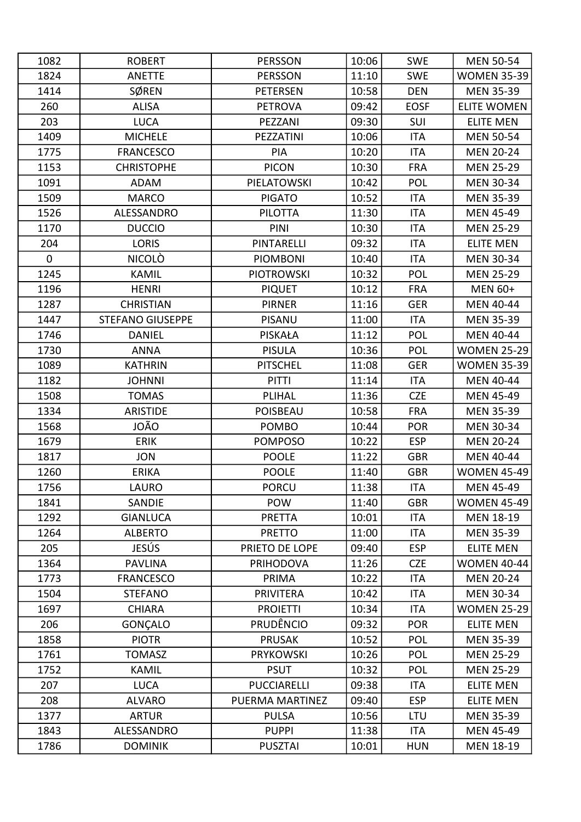| 1082        | <b>ROBERT</b>           | <b>PERSSON</b>     | 10:06 | <b>SWE</b>  | <b>MEN 50-54</b>   |
|-------------|-------------------------|--------------------|-------|-------------|--------------------|
| 1824        | <b>ANETTE</b>           | <b>PERSSON</b>     | 11:10 | <b>SWE</b>  | <b>WOMEN 35-39</b> |
| 1414        | <b>SØREN</b>            | <b>PETERSEN</b>    | 10:58 | <b>DEN</b>  | <b>MEN 35-39</b>   |
| 260         | <b>ALISA</b>            | <b>PETROVA</b>     | 09:42 | <b>EOSF</b> | <b>ELITE WOMEN</b> |
| 203         | <b>LUCA</b>             | PEZZANI            | 09:30 | SUI         | <b>ELITE MEN</b>   |
| 1409        | <b>MICHELE</b>          | PEZZATINI          | 10:06 | <b>ITA</b>  | <b>MEN 50-54</b>   |
| 1775        | <b>FRANCESCO</b>        | PIA                | 10:20 | <b>ITA</b>  | <b>MEN 20-24</b>   |
| 1153        | <b>CHRISTOPHE</b>       | <b>PICON</b>       | 10:30 | <b>FRA</b>  | <b>MEN 25-29</b>   |
| 1091        | ADAM                    | PIELATOWSKI        | 10:42 | POL         | <b>MEN 30-34</b>   |
| 1509        | <b>MARCO</b>            | <b>PIGATO</b>      | 10:52 | <b>ITA</b>  | <b>MEN 35-39</b>   |
| 1526        | ALESSANDRO              | <b>PILOTTA</b>     | 11:30 | <b>ITA</b>  | <b>MEN 45-49</b>   |
| 1170        | <b>DUCCIO</b>           | PINI               | 10:30 | <b>ITA</b>  | <b>MEN 25-29</b>   |
| 204         | <b>LORIS</b>            | <b>PINTARELLI</b>  | 09:32 | <b>ITA</b>  | <b>ELITE MEN</b>   |
| $\mathbf 0$ | NICOLÒ                  | <b>PIOMBONI</b>    | 10:40 | <b>ITA</b>  | <b>MEN 30-34</b>   |
| 1245        | <b>KAMIL</b>            | <b>PIOTROWSKI</b>  | 10:32 | POL         | <b>MEN 25-29</b>   |
| 1196        | <b>HENRI</b>            | <b>PIQUET</b>      | 10:12 | <b>FRA</b>  | <b>MEN 60+</b>     |
| 1287        | <b>CHRISTIAN</b>        | <b>PIRNER</b>      | 11:16 | <b>GER</b>  | <b>MEN 40-44</b>   |
| 1447        | <b>STEFANO GIUSEPPE</b> | PISANU             | 11:00 | <b>ITA</b>  | <b>MEN 35-39</b>   |
| 1746        | <b>DANIEL</b>           | <b>PISKAŁA</b>     | 11:12 | POL         | <b>MEN 40-44</b>   |
| 1730        | <b>ANNA</b>             | <b>PISULA</b>      | 10:36 | <b>POL</b>  | <b>WOMEN 25-29</b> |
| 1089        | <b>KATHRIN</b>          | <b>PITSCHEL</b>    | 11:08 | <b>GER</b>  | <b>WOMEN 35-39</b> |
| 1182        | <b>JOHNNI</b>           | <b>PITTI</b>       | 11:14 | <b>ITA</b>  | <b>MEN 40-44</b>   |
| 1508        | <b>TOMAS</b>            | PLIHAL             | 11:36 | <b>CZE</b>  | <b>MEN 45-49</b>   |
| 1334        | <b>ARISTIDE</b>         | <b>POISBEAU</b>    | 10:58 | <b>FRA</b>  | <b>MEN 35-39</b>   |
| 1568        | JOÃO                    | <b>POMBO</b>       | 10:44 | <b>POR</b>  | <b>MEN 30-34</b>   |
| 1679        | <b>ERIK</b>             | <b>POMPOSO</b>     | 10:22 | <b>ESP</b>  | <b>MEN 20-24</b>   |
| 1817        | <b>JON</b>              | <b>POOLE</b>       | 11:22 | <b>GBR</b>  | <b>MEN 40-44</b>   |
| 1260        | <b>ERIKA</b>            | <b>POOLE</b>       | 11:40 | <b>GBR</b>  | <b>WOMEN 45-49</b> |
| 1756        | LAURO                   | <b>PORCU</b>       | 11:38 | ITA         | MEN 45-49          |
| 1841        | SANDIE                  | POW                | 11:40 | <b>GBR</b>  | <b>WOMEN 45-49</b> |
| 1292        | <b>GIANLUCA</b>         | <b>PRETTA</b>      | 10:01 | <b>ITA</b>  | <b>MEN 18-19</b>   |
| 1264        | <b>ALBERTO</b>          | <b>PRETTO</b>      | 11:00 | ITA         | <b>MEN 35-39</b>   |
| 205         | JESÚS                   | PRIETO DE LOPE     | 09:40 | <b>ESP</b>  | <b>ELITE MEN</b>   |
| 1364        | <b>PAVLINA</b>          | <b>PRIHODOVA</b>   | 11:26 | <b>CZE</b>  | <b>WOMEN 40-44</b> |
| 1773        | <b>FRANCESCO</b>        | PRIMA              | 10:22 | <b>ITA</b>  | <b>MEN 20-24</b>   |
| 1504        | <b>STEFANO</b>          | <b>PRIVITERA</b>   | 10:42 | <b>ITA</b>  | MEN 30-34          |
| 1697        | <b>CHIARA</b>           | <b>PROIETTI</b>    | 10:34 | <b>ITA</b>  | <b>WOMEN 25-29</b> |
| 206         | GONÇALO                 | <b>PRUDÊNCIO</b>   | 09:32 | <b>POR</b>  | <b>ELITE MEN</b>   |
| 1858        | <b>PIOTR</b>            | <b>PRUSAK</b>      | 10:52 | <b>POL</b>  | <b>MEN 35-39</b>   |
| 1761        | <b>TOMASZ</b>           | <b>PRYKOWSKI</b>   | 10:26 | <b>POL</b>  | <b>MEN 25-29</b>   |
| 1752        | <b>KAMIL</b>            | <b>PSUT</b>        | 10:32 | POL         | <b>MEN 25-29</b>   |
| 207         | <b>LUCA</b>             | <b>PUCCIARELLI</b> | 09:38 | <b>ITA</b>  | <b>ELITE MEN</b>   |
| 208         | <b>ALVARO</b>           | PUERMA MARTINEZ    | 09:40 | <b>ESP</b>  | <b>ELITE MEN</b>   |
| 1377        | <b>ARTUR</b>            | <b>PULSA</b>       | 10:56 | LTU         | <b>MEN 35-39</b>   |
| 1843        | ALESSANDRO              | <b>PUPPI</b>       | 11:38 | ITA         | <b>MEN 45-49</b>   |
| 1786        | <b>DOMINIK</b>          | <b>PUSZTAI</b>     | 10:01 | <b>HUN</b>  | MEN 18-19          |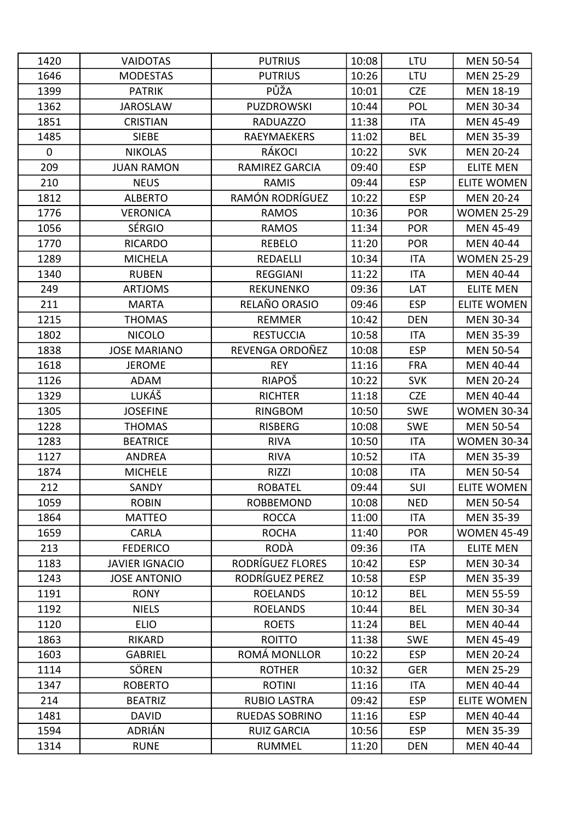| 1420        | <b>VAIDOTAS</b>       | <b>PUTRIUS</b>        | 10:08 | LTU        | <b>MEN 50-54</b>   |
|-------------|-----------------------|-----------------------|-------|------------|--------------------|
| 1646        | <b>MODESTAS</b>       | <b>PUTRIUS</b>        | 10:26 | LTU        | <b>MEN 25-29</b>   |
| 1399        | <b>PATRIK</b>         | PŮŽA                  | 10:01 | <b>CZE</b> | MEN 18-19          |
| 1362        | <b>JAROSLAW</b>       | <b>PUZDROWSKI</b>     | 10:44 | POL        | <b>MEN 30-34</b>   |
| 1851        | <b>CRISTIAN</b>       | <b>RADUAZZO</b>       | 11:38 | <b>ITA</b> | <b>MEN 45-49</b>   |
| 1485        | <b>SIEBE</b>          | RAEYMAEKERS           | 11:02 | <b>BEL</b> | <b>MEN 35-39</b>   |
| $\mathbf 0$ | <b>NIKOLAS</b>        | RÁKOCI                | 10:22 | <b>SVK</b> | <b>MEN 20-24</b>   |
| 209         | <b>JUAN RAMON</b>     | RAMIREZ GARCIA        | 09:40 | <b>ESP</b> | <b>ELITE MEN</b>   |
| 210         | <b>NEUS</b>           | RAMIS                 | 09:44 | <b>ESP</b> | <b>ELITE WOMEN</b> |
| 1812        | <b>ALBERTO</b>        | RAMÓN RODRÍGUEZ       | 10:22 | <b>ESP</b> | <b>MEN 20-24</b>   |
| 1776        | <b>VERONICA</b>       | <b>RAMOS</b>          | 10:36 | <b>POR</b> | <b>WOMEN 25-29</b> |
| 1056        | <b>SÉRGIO</b>         | <b>RAMOS</b>          | 11:34 | <b>POR</b> | <b>MEN 45-49</b>   |
| 1770        | <b>RICARDO</b>        | <b>REBELO</b>         | 11:20 | <b>POR</b> | <b>MEN 40-44</b>   |
| 1289        | <b>MICHELA</b>        | REDAELLI              | 10:34 | <b>ITA</b> | <b>WOMEN 25-29</b> |
| 1340        | <b>RUBEN</b>          | <b>REGGIANI</b>       | 11:22 | <b>ITA</b> | <b>MEN 40-44</b>   |
| 249         | <b>ARTJOMS</b>        | <b>REKUNENKO</b>      | 09:36 | LAT        | <b>ELITE MEN</b>   |
| 211         | <b>MARTA</b>          | RELAÑO ORASIO         | 09:46 | <b>ESP</b> | <b>ELITE WOMEN</b> |
| 1215        | <b>THOMAS</b>         | <b>REMMER</b>         | 10:42 | <b>DEN</b> | MEN 30-34          |
| 1802        | <b>NICOLO</b>         | <b>RESTUCCIA</b>      | 10:58 | <b>ITA</b> | <b>MEN 35-39</b>   |
| 1838        | <b>JOSE MARIANO</b>   | REVENGA ORDOÑEZ       | 10:08 | <b>ESP</b> | <b>MEN 50-54</b>   |
| 1618        | <b>JEROME</b>         | <b>REY</b>            | 11:16 | <b>FRA</b> | MEN 40-44          |
| 1126        | <b>ADAM</b>           | RIAPOŠ                | 10:22 | <b>SVK</b> | <b>MEN 20-24</b>   |
| 1329        | LUKÁŠ                 | <b>RICHTER</b>        | 11:18 | <b>CZE</b> | <b>MEN 40-44</b>   |
| 1305        | <b>JOSEFINE</b>       | <b>RINGBOM</b>        | 10:50 | <b>SWE</b> | <b>WOMEN 30-34</b> |
| 1228        | <b>THOMAS</b>         | <b>RISBERG</b>        | 10:08 | <b>SWE</b> | <b>MEN 50-54</b>   |
| 1283        | <b>BEATRICE</b>       | <b>RIVA</b>           | 10:50 | <b>ITA</b> | <b>WOMEN 30-34</b> |
| 1127        | <b>ANDREA</b>         | <b>RIVA</b>           | 10:52 | <b>ITA</b> | <b>MEN 35-39</b>   |
| 1874        | <b>MICHELE</b>        | RIZZI                 | 10:08 | <b>ITA</b> | <b>MEN 50-54</b>   |
| 212         | SANDY                 | <b>ROBATEL</b>        | 09:44 | SUI        | <b>ELITE WOMEN</b> |
| 1059        | <b>ROBIN</b>          | <b>ROBBEMOND</b>      | 10:08 | <b>NED</b> | <b>MEN 50-54</b>   |
| 1864        | <b>MATTEO</b>         | <b>ROCCA</b>          | 11:00 | ITA        | <b>MEN 35-39</b>   |
| 1659        | <b>CARLA</b>          | <b>ROCHA</b>          | 11:40 | <b>POR</b> | <b>WOMEN 45-49</b> |
| 213         | <b>FEDERICO</b>       | <b>RODÀ</b>           | 09:36 | <b>ITA</b> | <b>ELITE MEN</b>   |
| 1183        | <b>JAVIER IGNACIO</b> | RODRÍGUEZ FLORES      | 10:42 | <b>ESP</b> | <b>MEN 30-34</b>   |
| 1243        | <b>JOSE ANTONIO</b>   | RODRÍGUEZ PEREZ       | 10:58 | <b>ESP</b> | <b>MEN 35-39</b>   |
| 1191        | <b>RONY</b>           | <b>ROELANDS</b>       | 10:12 | <b>BEL</b> | <b>MEN 55-59</b>   |
| 1192        | <b>NIELS</b>          | <b>ROELANDS</b>       | 10:44 | <b>BEL</b> | <b>MEN 30-34</b>   |
| 1120        | <b>ELIO</b>           | <b>ROETS</b>          | 11:24 | <b>BEL</b> | <b>MEN 40-44</b>   |
| 1863        | <b>RIKARD</b>         | <b>ROITTO</b>         | 11:38 | <b>SWE</b> | <b>MEN 45-49</b>   |
| 1603        | <b>GABRIEL</b>        | ROMÁ MONLLOR          | 10:22 | <b>ESP</b> | <b>MEN 20-24</b>   |
| 1114        | SÖREN                 | <b>ROTHER</b>         | 10:32 | <b>GER</b> | <b>MEN 25-29</b>   |
| 1347        | <b>ROBERTO</b>        | <b>ROTINI</b>         | 11:16 | ITA        | <b>MEN 40-44</b>   |
| 214         | <b>BEATRIZ</b>        | <b>RUBIO LASTRA</b>   | 09:42 | <b>ESP</b> | <b>ELITE WOMEN</b> |
| 1481        | <b>DAVID</b>          | <b>RUEDAS SOBRINO</b> | 11:16 | <b>ESP</b> | <b>MEN 40-44</b>   |
| 1594        | ADRIÁN                | <b>RUIZ GARCIA</b>    | 10:56 | <b>ESP</b> | <b>MEN 35-39</b>   |
| 1314        | <b>RUNE</b>           | <b>RUMMEL</b>         | 11:20 | <b>DEN</b> | MEN 40-44          |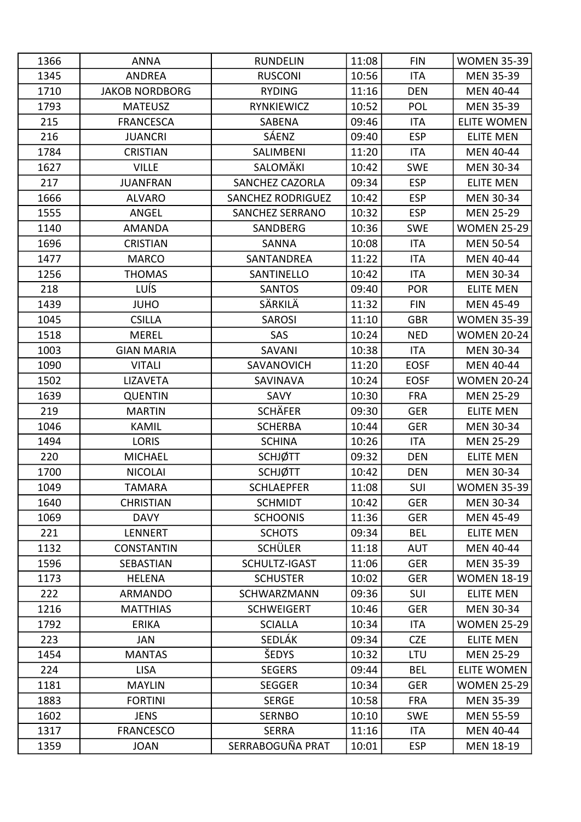| 1366 | <b>ANNA</b>           | <b>RUNDELIN</b>          | 11:08 | <b>FIN</b>  | <b>WOMEN 35-39</b> |
|------|-----------------------|--------------------------|-------|-------------|--------------------|
| 1345 | <b>ANDREA</b>         | <b>RUSCONI</b>           | 10:56 | <b>ITA</b>  | <b>MEN 35-39</b>   |
| 1710 | <b>JAKOB NORDBORG</b> | <b>RYDING</b>            | 11:16 | <b>DEN</b>  | <b>MEN 40-44</b>   |
| 1793 | <b>MATEUSZ</b>        | RYNKIEWICZ               | 10:52 | POL         | <b>MEN 35-39</b>   |
| 215  | <b>FRANCESCA</b>      | SABENA                   | 09:46 | <b>ITA</b>  | <b>ELITE WOMEN</b> |
| 216  | <b>JUANCRI</b>        | SÁENZ                    | 09:40 | <b>ESP</b>  | <b>ELITE MEN</b>   |
| 1784 | <b>CRISTIAN</b>       | SALIMBENI                | 11:20 | <b>ITA</b>  | <b>MEN 40-44</b>   |
| 1627 | <b>VILLE</b>          | SALOMÄKI                 | 10:42 | <b>SWE</b>  | MEN 30-34          |
| 217  | <b>JUANFRAN</b>       | <b>SANCHEZ CAZORLA</b>   | 09:34 | <b>ESP</b>  | <b>ELITE MEN</b>   |
| 1666 | <b>ALVARO</b>         | <b>SANCHEZ RODRIGUEZ</b> | 10:42 | <b>ESP</b>  | <b>MEN 30-34</b>   |
| 1555 | ANGEL                 | <b>SANCHEZ SERRANO</b>   | 10:32 | <b>ESP</b>  | <b>MEN 25-29</b>   |
| 1140 | <b>AMANDA</b>         | SANDBERG                 | 10:36 | <b>SWE</b>  | <b>WOMEN 25-29</b> |
| 1696 | <b>CRISTIAN</b>       | <b>SANNA</b>             | 10:08 | <b>ITA</b>  | <b>MEN 50-54</b>   |
| 1477 | <b>MARCO</b>          | SANTANDREA               | 11:22 | <b>ITA</b>  | <b>MEN 40-44</b>   |
| 1256 | <b>THOMAS</b>         | SANTINELLO               | 10:42 | <b>ITA</b>  | <b>MEN 30-34</b>   |
| 218  | <b>LUÍS</b>           | <b>SANTOS</b>            | 09:40 | <b>POR</b>  | <b>ELITE MEN</b>   |
| 1439 | <b>JUHO</b>           | SÄRKILÄ                  | 11:32 | <b>FIN</b>  | <b>MEN 45-49</b>   |
| 1045 | <b>CSILLA</b>         | <b>SAROSI</b>            | 11:10 | <b>GBR</b>  | <b>WOMEN 35-39</b> |
| 1518 | <b>MEREL</b>          | SAS                      | 10:24 | <b>NED</b>  | <b>WOMEN 20-24</b> |
| 1003 | <b>GIAN MARIA</b>     | SAVANI                   | 10:38 | <b>ITA</b>  | <b>MEN 30-34</b>   |
| 1090 | <b>VITALI</b>         | SAVANOVICH               | 11:20 | <b>EOSF</b> | MEN 40-44          |
| 1502 | <b>LIZAVETA</b>       | SAVINAVA                 | 10:24 | <b>EOSF</b> | <b>WOMEN 20-24</b> |
| 1639 | <b>QUENTIN</b>        | SAVY                     | 10:30 | <b>FRA</b>  | <b>MEN 25-29</b>   |
| 219  | <b>MARTIN</b>         | <b>SCHÄFER</b>           | 09:30 | <b>GER</b>  | <b>ELITE MEN</b>   |
| 1046 | <b>KAMIL</b>          | <b>SCHERBA</b>           | 10:44 | <b>GER</b>  | <b>MEN 30-34</b>   |
| 1494 | <b>LORIS</b>          | <b>SCHINA</b>            | 10:26 | <b>ITA</b>  | <b>MEN 25-29</b>   |
| 220  | <b>MICHAEL</b>        | <b>SCHJØTT</b>           | 09:32 | <b>DEN</b>  | <b>ELITE MEN</b>   |
| 1700 | <b>NICOLAI</b>        | <b>SCHJØTT</b>           | 10:42 | <b>DEN</b>  | <b>MEN 30-34</b>   |
| 1049 | <b>TAMARA</b>         | <b>SCHLAEPFER</b>        | 11:08 | SUI         | <b>WOMEN 35-39</b> |
| 1640 | <b>CHRISTIAN</b>      | <b>SCHMIDT</b>           | 10:42 | <b>GER</b>  | <b>MEN 30-34</b>   |
| 1069 | <b>DAVY</b>           | <b>SCHOONIS</b>          | 11:36 | <b>GER</b>  | <b>MEN 45-49</b>   |
| 221  | LENNERT               | <b>SCHOTS</b>            | 09:34 | <b>BEL</b>  | <b>ELITE MEN</b>   |
| 1132 | <b>CONSTANTIN</b>     | <b>SCHÜLER</b>           | 11:18 | <b>AUT</b>  | <b>MEN 40-44</b>   |
| 1596 | <b>SEBASTIAN</b>      | SCHULTZ-IGAST            | 11:06 | <b>GER</b>  | <b>MEN 35-39</b>   |
| 1173 | <b>HELENA</b>         | <b>SCHUSTER</b>          | 10:02 | <b>GER</b>  | <b>WOMEN 18-19</b> |
| 222  | <b>ARMANDO</b>        | SCHWARZMANN              | 09:36 | SUI         | <b>ELITE MEN</b>   |
| 1216 | <b>MATTHIAS</b>       | <b>SCHWEIGERT</b>        | 10:46 | <b>GER</b>  | <b>MEN 30-34</b>   |
| 1792 | <b>ERIKA</b>          | <b>SCIALLA</b>           | 10:34 | <b>ITA</b>  | <b>WOMEN 25-29</b> |
| 223  | JAN                   | SEDLÁK                   | 09:34 | <b>CZE</b>  | <b>ELITE MEN</b>   |
| 1454 | <b>MANTAS</b>         | ŠEDYS                    | 10:32 | LTU         | <b>MEN 25-29</b>   |
| 224  | <b>LISA</b>           | <b>SEGERS</b>            | 09:44 | <b>BEL</b>  | <b>ELITE WOMEN</b> |
| 1181 | <b>MAYLIN</b>         | <b>SEGGER</b>            | 10:34 | <b>GER</b>  | <b>WOMEN 25-29</b> |
| 1883 | <b>FORTINI</b>        | <b>SERGE</b>             | 10:58 | <b>FRA</b>  | <b>MEN 35-39</b>   |
| 1602 | <b>JENS</b>           | <b>SERNBO</b>            | 10:10 | <b>SWE</b>  | <b>MEN 55-59</b>   |
| 1317 | <b>FRANCESCO</b>      | <b>SERRA</b>             | 11:16 | ITA         | <b>MEN 40-44</b>   |
| 1359 | <b>JOAN</b>           | SERRABOGUÑA PRAT         | 10:01 | <b>ESP</b>  | MEN 18-19          |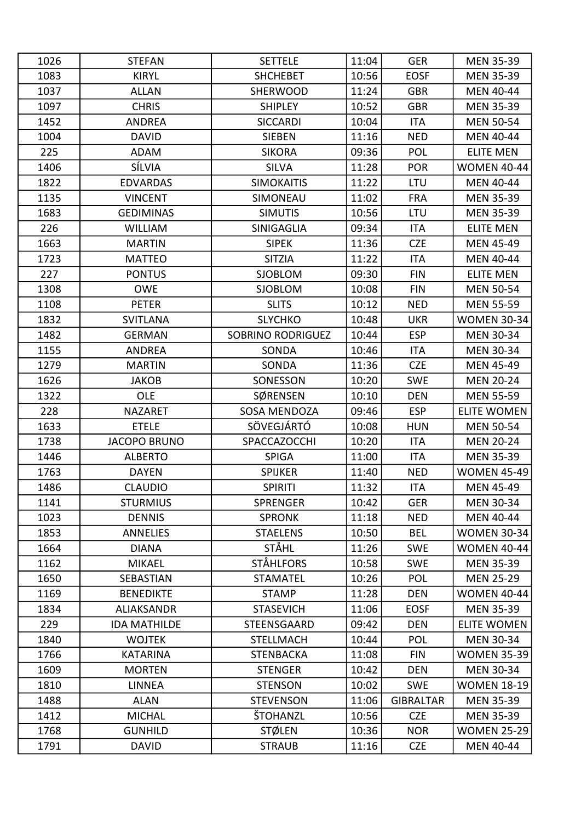| 1026 | <b>STEFAN</b>       | <b>SETTELE</b>           | 11:04 | <b>GER</b>       | <b>MEN 35-39</b>   |
|------|---------------------|--------------------------|-------|------------------|--------------------|
| 1083 | <b>KIRYL</b>        | <b>SHCHEBET</b>          | 10:56 | <b>EOSF</b>      | <b>MEN 35-39</b>   |
| 1037 | <b>ALLAN</b>        | <b>SHERWOOD</b>          | 11:24 | <b>GBR</b>       | <b>MEN 40-44</b>   |
| 1097 | <b>CHRIS</b>        | <b>SHIPLEY</b>           | 10:52 | <b>GBR</b>       | <b>MEN 35-39</b>   |
| 1452 | <b>ANDREA</b>       | <b>SICCARDI</b>          | 10:04 | <b>ITA</b>       | <b>MEN 50-54</b>   |
| 1004 | <b>DAVID</b>        | <b>SIEBEN</b>            | 11:16 | <b>NED</b>       | <b>MEN 40-44</b>   |
| 225  | <b>ADAM</b>         | <b>SIKORA</b>            | 09:36 | POL              | <b>ELITE MEN</b>   |
| 1406 | SÍLVIA              | <b>SILVA</b>             | 11:28 | <b>POR</b>       | <b>WOMEN 40-44</b> |
| 1822 | <b>EDVARDAS</b>     | <b>SIMOKAITIS</b>        | 11:22 | LTU              | <b>MEN 40-44</b>   |
| 1135 | <b>VINCENT</b>      | SIMONEAU                 | 11:02 | <b>FRA</b>       | <b>MEN 35-39</b>   |
| 1683 | <b>GEDIMINAS</b>    | <b>SIMUTIS</b>           | 10:56 | <b>LTU</b>       | <b>MEN 35-39</b>   |
| 226  | <b>WILLIAM</b>      | SINIGAGLIA               | 09:34 | <b>ITA</b>       | <b>ELITE MEN</b>   |
| 1663 | <b>MARTIN</b>       | <b>SIPEK</b>             | 11:36 | <b>CZE</b>       | <b>MEN 45-49</b>   |
| 1723 | <b>MATTEO</b>       | <b>SITZIA</b>            | 11:22 | <b>ITA</b>       | <b>MEN 40-44</b>   |
| 227  | <b>PONTUS</b>       | <b>SJOBLOM</b>           | 09:30 | <b>FIN</b>       | <b>ELITE MEN</b>   |
| 1308 | <b>OWE</b>          | <b>SJOBLOM</b>           | 10:08 | <b>FIN</b>       | <b>MEN 50-54</b>   |
| 1108 | <b>PETER</b>        | <b>SLITS</b>             | 10:12 | <b>NED</b>       | <b>MEN 55-59</b>   |
| 1832 | <b>SVITLANA</b>     | <b>SLYCHKO</b>           | 10:48 | <b>UKR</b>       | <b>WOMEN 30-34</b> |
| 1482 | <b>GERMAN</b>       | <b>SOBRINO RODRIGUEZ</b> | 10:44 | <b>ESP</b>       | <b>MEN 30-34</b>   |
| 1155 | <b>ANDREA</b>       | SONDA                    | 10:46 | <b>ITA</b>       | <b>MEN 30-34</b>   |
| 1279 | <b>MARTIN</b>       | SONDA                    | 11:36 | <b>CZE</b>       | <b>MEN 45-49</b>   |
| 1626 | <b>JAKOB</b>        | SONESSON                 | 10:20 | <b>SWE</b>       | <b>MEN 20-24</b>   |
| 1322 | OLE                 | SØRENSEN                 | 10:10 | <b>DEN</b>       | <b>MEN 55-59</b>   |
| 228  | <b>NAZARET</b>      | SOSA MENDOZA             | 09:46 | <b>ESP</b>       | <b>ELITE WOMEN</b> |
| 1633 | <b>ETELE</b>        | SÖVEGJÁRTÓ               | 10:08 | <b>HUN</b>       | <b>MEN 50-54</b>   |
| 1738 | <b>JACOPO BRUNO</b> | SPACCAZOCCHI             | 10:20 | <b>ITA</b>       | <b>MEN 20-24</b>   |
| 1446 | <b>ALBERTO</b>      | <b>SPIGA</b>             | 11:00 | <b>ITA</b>       | <b>MEN 35-39</b>   |
| 1763 | <b>DAYEN</b>        | <b>SPIJKER</b>           | 11:40 | <b>NED</b>       | <b>WOMEN 45-49</b> |
| 1486 | <b>CLAUDIO</b>      | <b>SPIRITI</b>           | 11:32 | <b>ITA</b>       | MEN 45-49          |
| 1141 | <b>STURMIUS</b>     | <b>SPRENGER</b>          | 10:42 | <b>GER</b>       | <b>MEN 30-34</b>   |
| 1023 | <b>DENNIS</b>       | <b>SPRONK</b>            | 11:18 | <b>NED</b>       | <b>MEN 40-44</b>   |
| 1853 | <b>ANNELIES</b>     | <b>STAELENS</b>          | 10:50 | <b>BEL</b>       | <b>WOMEN 30-34</b> |
| 1664 | <b>DIANA</b>        | <b>STÅHL</b>             | 11:26 | <b>SWE</b>       | <b>WOMEN 40-44</b> |
| 1162 | <b>MIKAEL</b>       | STÅHLFORS                | 10:58 | <b>SWE</b>       | <b>MEN 35-39</b>   |
| 1650 | SEBASTIAN           | <b>STAMATEL</b>          | 10:26 | <b>POL</b>       | <b>MEN 25-29</b>   |
| 1169 | <b>BENEDIKTE</b>    | <b>STAMP</b>             | 11:28 | <b>DEN</b>       | <b>WOMEN 40-44</b> |
| 1834 | <b>ALIAKSANDR</b>   | <b>STASEVICH</b>         | 11:06 | <b>EOSF</b>      | <b>MEN 35-39</b>   |
| 229  | <b>IDA MATHILDE</b> | STEENSGAARD              | 09:42 | <b>DEN</b>       | <b>ELITE WOMEN</b> |
| 1840 | <b>WOJTEK</b>       | <b>STELLMACH</b>         | 10:44 | <b>POL</b>       | MEN 30-34          |
| 1766 | <b>KATARINA</b>     | <b>STENBACKA</b>         | 11:08 | <b>FIN</b>       | <b>WOMEN 35-39</b> |
| 1609 | <b>MORTEN</b>       | <b>STENGER</b>           | 10:42 | <b>DEN</b>       | <b>MEN 30-34</b>   |
| 1810 | <b>LINNEA</b>       | <b>STENSON</b>           | 10:02 | <b>SWE</b>       | <b>WOMEN 18-19</b> |
| 1488 | <b>ALAN</b>         | <b>STEVENSON</b>         | 11:06 | <b>GIBRALTAR</b> | <b>MEN 35-39</b>   |
| 1412 | <b>MICHAL</b>       | ŠTOHANZL                 | 10:56 | <b>CZE</b>       | <b>MEN 35-39</b>   |
| 1768 | <b>GUNHILD</b>      | <b>STØLEN</b>            | 10:36 | <b>NOR</b>       | <b>WOMEN 25-29</b> |
| 1791 | <b>DAVID</b>        | <b>STRAUB</b>            | 11:16 | <b>CZE</b>       | MEN 40-44          |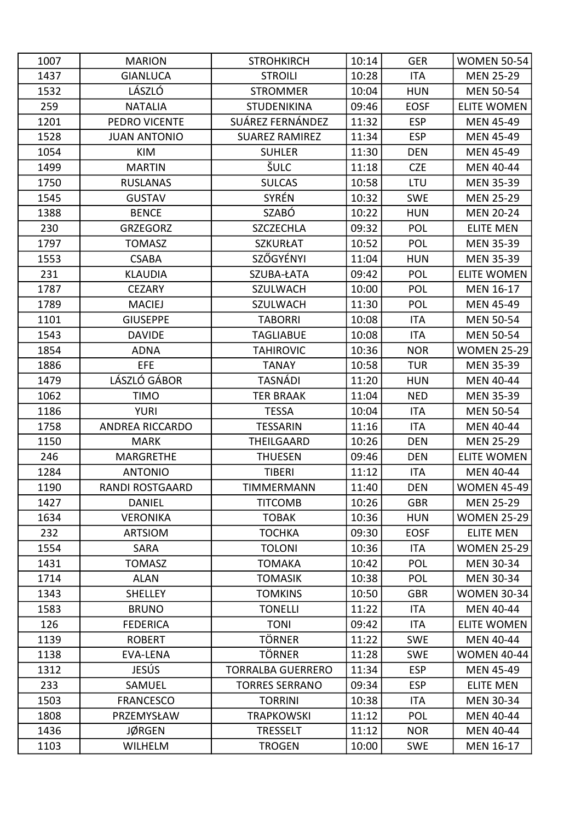| 1007 | <b>MARION</b>          | <b>STROHKIRCH</b>        | 10:14 | <b>GER</b>  | <b>WOMEN 50-54</b> |
|------|------------------------|--------------------------|-------|-------------|--------------------|
| 1437 | <b>GIANLUCA</b>        | <b>STROILI</b>           | 10:28 | <b>ITA</b>  | <b>MEN 25-29</b>   |
| 1532 | LÁSZLÓ                 | <b>STROMMER</b>          | 10:04 | <b>HUN</b>  | <b>MEN 50-54</b>   |
| 259  | <b>NATALIA</b>         | <b>STUDENIKINA</b>       | 09:46 | <b>EOSF</b> | ELITE WOMEN        |
| 1201 | PEDRO VICENTE          | SUÁREZ FERNÁNDEZ         | 11:32 | <b>ESP</b>  | <b>MEN 45-49</b>   |
| 1528 | <b>JUAN ANTONIO</b>    | <b>SUAREZ RAMIREZ</b>    | 11:34 | <b>ESP</b>  | <b>MEN 45-49</b>   |
| 1054 | <b>KIM</b>             | <b>SUHLER</b>            | 11:30 | <b>DEN</b>  | <b>MEN 45-49</b>   |
| 1499 | <b>MARTIN</b>          | ŠULC                     | 11:18 | <b>CZE</b>  | <b>MEN 40-44</b>   |
| 1750 | <b>RUSLANAS</b>        | <b>SULCAS</b>            | 10:58 | LTU         | <b>MEN 35-39</b>   |
| 1545 | <b>GUSTAV</b>          | <b>SYRÉN</b>             | 10:32 | <b>SWE</b>  | <b>MEN 25-29</b>   |
| 1388 | <b>BENCE</b>           | SZABÓ                    | 10:22 | <b>HUN</b>  | <b>MEN 20-24</b>   |
| 230  | <b>GRZEGORZ</b>        | <b>SZCZECHLA</b>         | 09:32 | <b>POL</b>  | <b>ELITE MEN</b>   |
| 1797 | <b>TOMASZ</b>          | <b>SZKURŁAT</b>          | 10:52 | <b>POL</b>  | <b>MEN 35-39</b>   |
| 1553 | <b>CSABA</b>           | SZŐGYÉNYI                | 11:04 | <b>HUN</b>  | <b>MEN 35-39</b>   |
| 231  | <b>KLAUDIA</b>         | SZUBA-ŁATA               | 09:42 | <b>POL</b>  | <b>ELITE WOMEN</b> |
| 1787 | <b>CEZARY</b>          | SZULWACH                 | 10:00 | POL         | MEN 16-17          |
| 1789 | <b>MACIEJ</b>          | <b>SZULWACH</b>          | 11:30 | <b>POL</b>  | <b>MEN 45-49</b>   |
| 1101 | <b>GIUSEPPE</b>        | <b>TABORRI</b>           | 10:08 | <b>ITA</b>  | <b>MEN 50-54</b>   |
| 1543 | <b>DAVIDE</b>          | <b>TAGLIABUE</b>         | 10:08 | <b>ITA</b>  | <b>MEN 50-54</b>   |
| 1854 | <b>ADNA</b>            | <b>TAHIROVIC</b>         | 10:36 | <b>NOR</b>  | <b>WOMEN 25-29</b> |
| 1886 | <b>EFE</b>             | <b>TANAY</b>             | 10:58 | <b>TUR</b>  | <b>MEN 35-39</b>   |
| 1479 | LÁSZLÓ GÁBOR           | <b>TASNÁDI</b>           | 11:20 | <b>HUN</b>  | <b>MEN 40-44</b>   |
| 1062 | <b>TIMO</b>            | <b>TER BRAAK</b>         | 11:04 | <b>NED</b>  | <b>MEN 35-39</b>   |
| 1186 | <b>YURI</b>            | <b>TESSA</b>             | 10:04 | <b>ITA</b>  | <b>MEN 50-54</b>   |
| 1758 | <b>ANDREA RICCARDO</b> | <b>TESSARIN</b>          | 11:16 | <b>ITA</b>  | <b>MEN 40-44</b>   |
| 1150 | <b>MARK</b>            | THEILGAARD               | 10:26 | <b>DEN</b>  | <b>MEN 25-29</b>   |
| 246  | <b>MARGRETHE</b>       | <b>THUESEN</b>           | 09:46 | <b>DEN</b>  | <b>ELITE WOMEN</b> |
| 1284 | <b>ANTONIO</b>         | <b>TIBERI</b>            | 11:12 | <b>ITA</b>  | <b>MEN 40-44</b>   |
| 1190 | RANDI ROSTGAARD        | TIMMERMANN               | 11:40 | <b>DEN</b>  | <b>WOMEN 45-49</b> |
| 1427 | <b>DANIEL</b>          | <b>TITCOMB</b>           | 10:26 | <b>GBR</b>  | <b>MEN 25-29</b>   |
| 1634 | <b>VERONIKA</b>        | <b>TOBAK</b>             | 10:36 | <b>HUN</b>  | <b>WOMEN 25-29</b> |
| 232  | <b>ARTSIOM</b>         | <b>TOCHKA</b>            | 09:30 | <b>EOSF</b> | <b>ELITE MEN</b>   |
| 1554 | <b>SARA</b>            | <b>TOLONI</b>            | 10:36 | <b>ITA</b>  | <b>WOMEN 25-29</b> |
| 1431 | <b>TOMASZ</b>          | <b>TOMAKA</b>            | 10:42 | POL         | <b>MEN 30-34</b>   |
| 1714 | <b>ALAN</b>            | <b>TOMASIK</b>           | 10:38 | <b>POL</b>  | <b>MEN 30-34</b>   |
| 1343 | <b>SHELLEY</b>         | <b>TOMKINS</b>           | 10:50 | <b>GBR</b>  | <b>WOMEN 30-34</b> |
| 1583 | <b>BRUNO</b>           | <b>TONELLI</b>           | 11:22 | ITA         | MEN 40-44          |
| 126  | <b>FEDERICA</b>        | <b>TONI</b>              | 09:42 | <b>ITA</b>  | <b>ELITE WOMEN</b> |
| 1139 | <b>ROBERT</b>          | <b>TÖRNER</b>            | 11:22 | <b>SWE</b>  | <b>MEN 40-44</b>   |
| 1138 | <b>EVA-LENA</b>        | TÖRNER                   | 11:28 | <b>SWE</b>  | <b>WOMEN 40-44</b> |
| 1312 | <b>JESÚS</b>           | <b>TORRALBA GUERRERO</b> | 11:34 | <b>ESP</b>  | <b>MEN 45-49</b>   |
| 233  | SAMUEL                 | <b>TORRES SERRANO</b>    | 09:34 | <b>ESP</b>  | <b>ELITE MEN</b>   |
| 1503 | <b>FRANCESCO</b>       | <b>TORRINI</b>           | 10:38 | <b>ITA</b>  | <b>MEN 30-34</b>   |
| 1808 | PRZEMYSŁAW             | <b>TRAPKOWSKI</b>        | 11:12 | <b>POL</b>  | <b>MEN 40-44</b>   |
| 1436 | <b>JØRGEN</b>          | <b>TRESSELT</b>          | 11:12 | <b>NOR</b>  | <b>MEN 40-44</b>   |
| 1103 | <b>WILHELM</b>         | <b>TROGEN</b>            | 10:00 | <b>SWE</b>  | MEN 16-17          |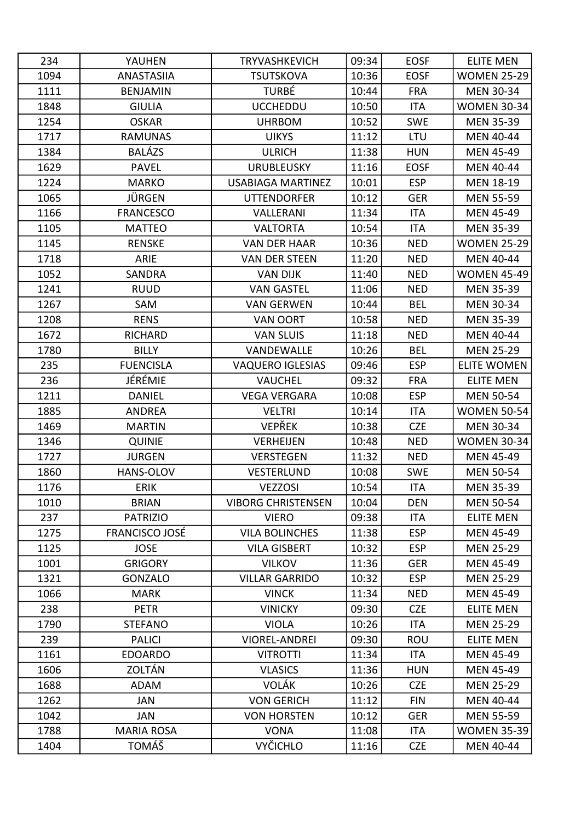| 234  | YAUHEN                | <b>TRYVASHKEVICH</b>      | 09:34 | <b>EOSF</b> | <b>ELITE MEN</b>   |
|------|-----------------------|---------------------------|-------|-------------|--------------------|
| 1094 | <b>ANASTASIIA</b>     | <b>TSUTSKOVA</b>          | 10:36 | <b>EOSF</b> | <b>WOMEN 25-29</b> |
| 1111 | <b>BENJAMIN</b>       | <b>TURBÉ</b>              | 10:44 | <b>FRA</b>  | <b>MEN 30-34</b>   |
| 1848 | <b>GIULIA</b>         | <b>UCCHEDDU</b>           | 10:50 | <b>ITA</b>  | <b>WOMEN 30-34</b> |
| 1254 | <b>OSKAR</b>          | <b>UHRBOM</b>             | 10:52 | <b>SWE</b>  | <b>MEN 35-39</b>   |
| 1717 | <b>RAMUNAS</b>        | <b>UIKYS</b>              | 11:12 | LTU         | <b>MEN 40-44</b>   |
| 1384 | <b>BALÁZS</b>         | <b>ULRICH</b>             | 11:38 | <b>HUN</b>  | <b>MEN 45-49</b>   |
| 1629 | <b>PAVEL</b>          | <b>URUBLEUSKY</b>         | 11:16 | <b>EOSF</b> | <b>MEN 40-44</b>   |
| 1224 | <b>MARKO</b>          | <b>USABIAGA MARTINEZ</b>  | 10:01 | <b>ESP</b>  | MEN 18-19          |
| 1065 | <b>JÜRGEN</b>         | <b>UTTENDORFER</b>        | 10:12 | <b>GER</b>  | <b>MEN 55-59</b>   |
| 1166 | <b>FRANCESCO</b>      | VALLERANI                 | 11:34 | <b>ITA</b>  | <b>MEN 45-49</b>   |
| 1105 | <b>MATTEO</b>         | <b>VALTORTA</b>           | 10:54 | <b>ITA</b>  | <b>MEN 35-39</b>   |
| 1145 | <b>RENSKE</b>         | <b>VAN DER HAAR</b>       | 10:36 | <b>NED</b>  | <b>WOMEN 25-29</b> |
| 1718 | ARIE                  | <b>VAN DER STEEN</b>      | 11:20 | <b>NED</b>  | MEN 40-44          |
| 1052 | SANDRA                | <b>VAN DIJK</b>           | 11:40 | <b>NED</b>  | <b>WOMEN 45-49</b> |
| 1241 | <b>RUUD</b>           | <b>VAN GASTEL</b>         | 11:06 | <b>NED</b>  | <b>MEN 35-39</b>   |
| 1267 | SAM                   | <b>VAN GERWEN</b>         | 10:44 | <b>BEL</b>  | <b>MEN 30-34</b>   |
| 1208 | <b>RENS</b>           | <b>VAN OORT</b>           | 10:58 | <b>NED</b>  | <b>MEN 35-39</b>   |
| 1672 | RICHARD               | <b>VAN SLUIS</b>          | 11:18 | <b>NED</b>  | <b>MEN 40-44</b>   |
| 1780 | <b>BILLY</b>          | VANDEWALLE                | 10:26 | <b>BEL</b>  | <b>MEN 25-29</b>   |
| 235  | <b>FUENCISLA</b>      | <b>VAQUERO IGLESIAS</b>   | 09:46 | <b>ESP</b>  | <b>ELITE WOMEN</b> |
| 236  | JÉRÉMIE               | <b>VAUCHEL</b>            | 09:32 | <b>FRA</b>  | <b>ELITE MEN</b>   |
| 1211 | <b>DANIEL</b>         | <b>VEGA VERGARA</b>       | 10:08 | <b>ESP</b>  | <b>MEN 50-54</b>   |
| 1885 | <b>ANDREA</b>         | <b>VELTRI</b>             | 10:14 | ITA         | <b>WOMEN 50-54</b> |
| 1469 | <b>MARTIN</b>         | <b>VEPŘEK</b>             | 10:38 | <b>CZE</b>  | <b>MEN 30-34</b>   |
| 1346 | <b>QUINIE</b>         | <b>VERHEIJEN</b>          | 10:48 | <b>NED</b>  | <b>WOMEN 30-34</b> |
| 1727 | <b>JURGEN</b>         | <b>VERSTEGEN</b>          | 11:32 | <b>NED</b>  | <b>MEN 45-49</b>   |
| 1860 | <b>HANS-OLOV</b>      | <b>VESTERLUND</b>         | 10:08 | <b>SWE</b>  | <b>MEN 50-54</b>   |
| 1176 | ERIK                  | <b>VEZZOSI</b>            | 10:54 | ITA         | <b>MEN 35-39</b>   |
| 1010 | <b>BRIAN</b>          | <b>VIBORG CHRISTENSEN</b> | 10:04 | <b>DEN</b>  | <b>MEN 50-54</b>   |
| 237  | <b>PATRIZIO</b>       | <b>VIERO</b>              | 09:38 | ITA         | <b>ELITE MEN</b>   |
| 1275 | <b>FRANCISCO JOSÉ</b> | <b>VILA BOLINCHES</b>     | 11:38 | <b>ESP</b>  | <b>MEN 45-49</b>   |
| 1125 | <b>JOSE</b>           | <b>VILA GISBERT</b>       | 10:32 | <b>ESP</b>  | <b>MEN 25-29</b>   |
| 1001 | <b>GRIGORY</b>        | <b>VILKOV</b>             | 11:36 | <b>GER</b>  | <b>MEN 45-49</b>   |
| 1321 | <b>GONZALO</b>        | <b>VILLAR GARRIDO</b>     | 10:32 | <b>ESP</b>  | <b>MEN 25-29</b>   |
| 1066 | <b>MARK</b>           | <b>VINCK</b>              | 11:34 | <b>NED</b>  | <b>MEN 45-49</b>   |
| 238  | <b>PETR</b>           | <b>VINICKY</b>            | 09:30 | <b>CZE</b>  | <b>ELITE MEN</b>   |
| 1790 | <b>STEFANO</b>        | <b>VIOLA</b>              | 10:26 | <b>ITA</b>  | <b>MEN 25-29</b>   |
| 239  | <b>PALICI</b>         | <b>VIOREL-ANDREI</b>      | 09:30 | <b>ROU</b>  | <b>ELITE MEN</b>   |
| 1161 | <b>EDOARDO</b>        | <b>VITROTTI</b>           | 11:34 | <b>ITA</b>  | <b>MEN 45-49</b>   |
| 1606 | ZOLTÁN                | <b>VLASICS</b>            | 11:36 | <b>HUN</b>  | <b>MEN 45-49</b>   |
| 1688 | ADAM                  | <b>VOLÁK</b>              | 10:26 | <b>CZE</b>  | <b>MEN 25-29</b>   |
| 1262 | <b>JAN</b>            | <b>VON GERICH</b>         | 11:12 | <b>FIN</b>  | <b>MEN 40-44</b>   |
| 1042 | JAN                   | <b>VON HORSTEN</b>        | 10:12 | <b>GER</b>  | <b>MEN 55-59</b>   |
| 1788 | <b>MARIA ROSA</b>     | <b>VONA</b>               | 11:08 | ITA         | <b>WOMEN 35-39</b> |
| 1404 | TOMÁŠ                 | <b>VYČICHLO</b>           | 11:16 | <b>CZE</b>  | MEN 40-44          |